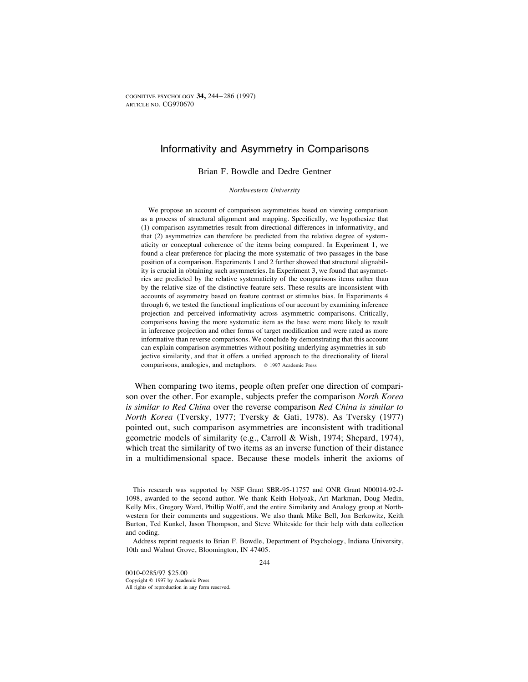COGNITIVE PSYCHOLOGY **34,** 244–286 (1997) ARTICLE NO. CG970670

# Informativity and Asymmetry in Comparisons

Brian F. Bowdle and Dedre Gentner

*Northwestern University*

We propose an account of comparison asymmetries based on viewing comparison as a process of structural alignment and mapping. Specifically, we hypothesize that (1) comparison asymmetries result from directional differences in informativity, and that (2) asymmetries can therefore be predicted from the relative degree of systematicity or conceptual coherence of the items being compared. In Experiment 1, we found a clear preference for placing the more systematic of two passages in the base position of a comparison. Experiments 1 and 2 further showed that structural alignability is crucial in obtaining such asymmetries. In Experiment 3, we found that asymmetries are predicted by the relative systematicity of the comparisons items rather than by the relative size of the distinctive feature sets. These results are inconsistent with accounts of asymmetry based on feature contrast or stimulus bias. In Experiments 4 through 6, we tested the functional implications of our account by examining inference projection and perceived informativity across asymmetric comparisons. Critically, comparisons having the more systematic item as the base were more likely to result in inference projection and other forms of target modification and were rated as more informative than reverse comparisons. We conclude by demonstrating that this account can explain comparison asymmetries without positing underlying asymmetries in subjective similarity, and that it offers a unified approach to the directionality of literal comparisons, analogies, and metaphors.  $\circ$  1997 Academic Press

When comparing two items, people often prefer one direction of comparison over the other. For example, subjects prefer the comparison *North Korea is similar to Red China* over the reverse comparison *Red China is similar to North Korea* (Tversky, 1977; Tversky & Gati, 1978). As Tversky (1977) pointed out, such comparison asymmetries are inconsistent with traditional geometric models of similarity (e.g., Carroll & Wish, 1974; Shepard, 1974), which treat the similarity of two items as an inverse function of their distance in a multidimensional space. Because these models inherit the axioms of

This research was supported by NSF Grant SBR-95-11757 and ONR Grant N00014-92-J-1098, awarded to the second author. We thank Keith Holyoak, Art Markman, Doug Medin, Kelly Mix, Gregory Ward, Phillip Wolff, and the entire Similarity and Analogy group at Northwestern for their comments and suggestions. We also thank Mike Bell, Jon Berkowitz, Keith Burton, Ted Kunkel, Jason Thompson, and Steve Whiteside for their help with data collection and coding.

Address reprint requests to Brian F. Bowdle, Department of Psychology, Indiana University, 10th and Walnut Grove, Bloomington, IN 47405.

 $244$ 

0010-0285/97 \$25.00 Copyright  $©$  1997 by Academic Press All rights of reproduction in any form reserved.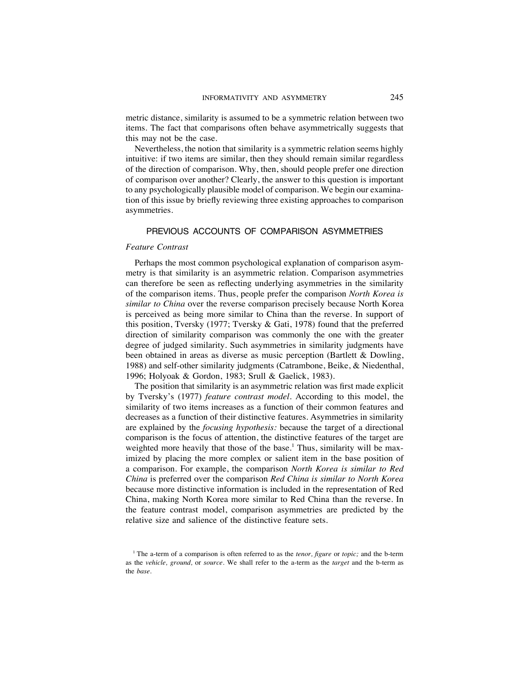metric distance, similarity is assumed to be a symmetric relation between two items. The fact that comparisons often behave asymmetrically suggests that this may not be the case.

Nevertheless, the notion that similarity is a symmetric relation seems highly intuitive: if two items are similar, then they should remain similar regardless of the direction of comparison. Why, then, should people prefer one direction of comparison over another? Clearly, the answer to this question is important to any psychologically plausible model of comparison. We begin our examination of this issue by briefly reviewing three existing approaches to comparison asymmetries.

# PREVIOUS ACCOUNTS OF COMPARISON ASYMMETRIES

## *Feature Contrast*

Perhaps the most common psychological explanation of comparison asymmetry is that similarity is an asymmetric relation. Comparison asymmetries can therefore be seen as reflecting underlying asymmetries in the similarity of the comparison items. Thus, people prefer the comparison *North Korea is similar to China* over the reverse comparison precisely because North Korea is perceived as being more similar to China than the reverse. In support of this position, Tversky (1977; Tversky & Gati, 1978) found that the preferred direction of similarity comparison was commonly the one with the greater degree of judged similarity. Such asymmetries in similarity judgments have been obtained in areas as diverse as music perception (Bartlett & Dowling, 1988) and self-other similarity judgments (Catrambone, Beike, & Niedenthal, 1996; Holyoak & Gordon, 1983; Srull & Gaelick, 1983).

The position that similarity is an asymmetric relation was first made explicit by Tversky's (1977) *feature contrast model.* According to this model, the similarity of two items increases as a function of their common features and decreases as a function of their distinctive features. Asymmetries in similarity are explained by the *focusing hypothesis:* because the target of a directional comparison is the focus of attention, the distinctive features of the target are weighted more heavily that those of the base.<sup>1</sup> Thus, similarity will be maximized by placing the more complex or salient item in the base position of a comparison. For example, the comparison *North Korea is similar to Red China* is preferred over the comparison *Red China is similar to North Korea* because more distinctive information is included in the representation of Red China, making North Korea more similar to Red China than the reverse. In the feature contrast model, comparison asymmetries are predicted by the relative size and salience of the distinctive feature sets.

<sup>&</sup>lt;sup>1</sup> The a-term of a comparison is often referred to as the *tenor*, figure or topic; and the b-term as the *vehicle, ground,* or *source.* We shall refer to the a-term as the *target* and the b-term as the *base.*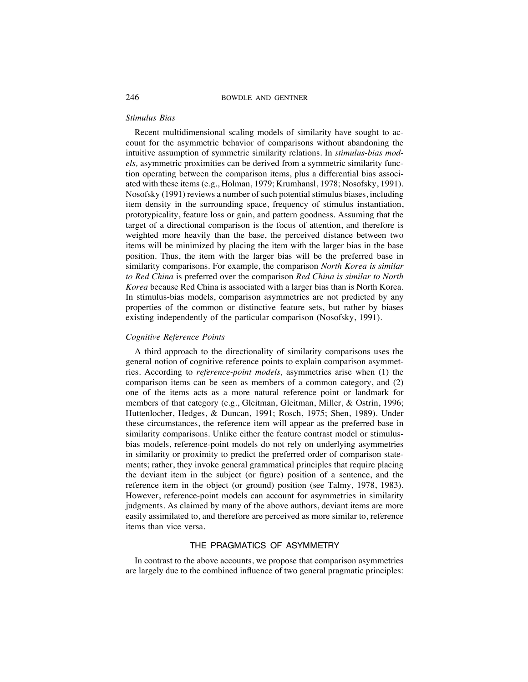## *Stimulus Bias*

Recent multidimensional scaling models of similarity have sought to account for the asymmetric behavior of comparisons without abandoning the intuitive assumption of symmetric similarity relations. In *stimulus-bias models,* asymmetric proximities can be derived from a symmetric similarity function operating between the comparison items, plus a differential bias associated with these items (e.g., Holman, 1979; Krumhansl, 1978; Nosofsky, 1991). Nosofsky (1991) reviews a number of such potential stimulus biases, including item density in the surrounding space, frequency of stimulus instantiation, prototypicality, feature loss or gain, and pattern goodness. Assuming that the target of a directional comparison is the focus of attention, and therefore is weighted more heavily than the base, the perceived distance between two items will be minimized by placing the item with the larger bias in the base position. Thus, the item with the larger bias will be the preferred base in similarity comparisons. For example, the comparison *North Korea is similar to Red China* is preferred over the comparison *Red China is similar to North Korea* because Red China is associated with a larger bias than is North Korea. In stimulus-bias models, comparison asymmetries are not predicted by any properties of the common or distinctive feature sets, but rather by biases existing independently of the particular comparison (Nosofsky, 1991).

# *Cognitive Reference Points*

A third approach to the directionality of similarity comparisons uses the general notion of cognitive reference points to explain comparison asymmetries. According to *reference-point models,* asymmetries arise when (1) the comparison items can be seen as members of a common category, and (2) one of the items acts as a more natural reference point or landmark for members of that category (e.g., Gleitman, Gleitman, Miller, & Ostrin, 1996; Huttenlocher, Hedges, & Duncan, 1991; Rosch, 1975; Shen, 1989). Under these circumstances, the reference item will appear as the preferred base in similarity comparisons. Unlike either the feature contrast model or stimulusbias models, reference-point models do not rely on underlying asymmetries in similarity or proximity to predict the preferred order of comparison statements; rather, they invoke general grammatical principles that require placing the deviant item in the subject (or figure) position of a sentence, and the reference item in the object (or ground) position (see Talmy, 1978, 1983). However, reference-point models can account for asymmetries in similarity judgments. As claimed by many of the above authors, deviant items are more easily assimilated to, and therefore are perceived as more similar to, reference items than vice versa.

# THE PRAGMATICS OF ASYMMETRY

In contrast to the above accounts, we propose that comparison asymmetries are largely due to the combined influence of two general pragmatic principles: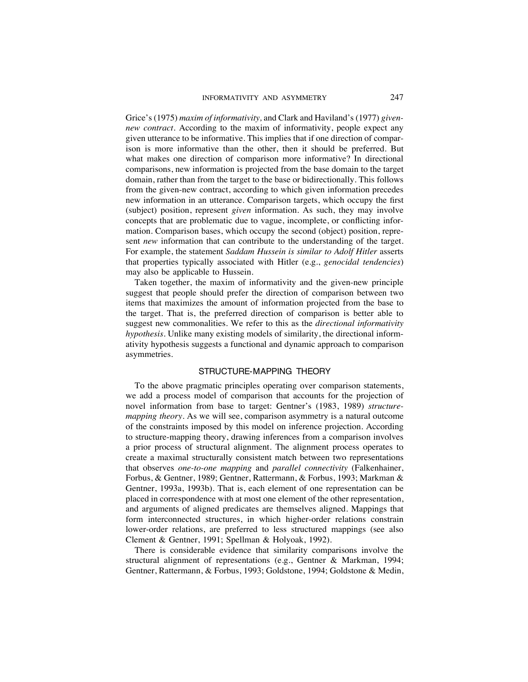Grice's (1975) *maxim of informativity,* and Clark and Haviland's (1977) *givennew contract.* According to the maxim of informativity, people expect any given utterance to be informative. This implies that if one direction of comparison is more informative than the other, then it should be preferred. But what makes one direction of comparison more informative? In directional comparisons, new information is projected from the base domain to the target domain, rather than from the target to the base or bidirectionally. This follows from the given-new contract, according to which given information precedes new information in an utterance. Comparison targets, which occupy the first (subject) position, represent *given* information. As such, they may involve concepts that are problematic due to vague, incomplete, or conflicting information. Comparison bases, which occupy the second (object) position, represent *new* information that can contribute to the understanding of the target. For example, the statement *Saddam Hussein is similar to Adolf Hitler* asserts that properties typically associated with Hitler (e.g., *genocidal tendencies*) may also be applicable to Hussein.

Taken together, the maxim of informativity and the given-new principle suggest that people should prefer the direction of comparison between two items that maximizes the amount of information projected from the base to the target. That is, the preferred direction of comparison is better able to suggest new commonalities. We refer to this as the *directional informativity hypothesis.* Unlike many existing models of similarity, the directional informativity hypothesis suggests a functional and dynamic approach to comparison asymmetries.

# STRUCTURE-MAPPING THEORY

To the above pragmatic principles operating over comparison statements, we add a process model of comparison that accounts for the projection of novel information from base to target: Gentner's (1983, 1989) *structuremapping theory.* As we will see, comparison asymmetry is a natural outcome of the constraints imposed by this model on inference projection. According to structure-mapping theory, drawing inferences from a comparison involves a prior process of structural alignment. The alignment process operates to create a maximal structurally consistent match between two representations that observes *one-to-one mapping* and *parallel connectivity* (Falkenhainer, Forbus, & Gentner, 1989; Gentner, Rattermann, & Forbus, 1993; Markman & Gentner, 1993a, 1993b). That is, each element of one representation can be placed in correspondence with at most one element of the other representation, and arguments of aligned predicates are themselves aligned. Mappings that form interconnected structures, in which higher-order relations constrain lower-order relations, are preferred to less structured mappings (see also Clement & Gentner, 1991; Spellman & Holyoak, 1992).

There is considerable evidence that similarity comparisons involve the structural alignment of representations (e.g., Gentner & Markman, 1994; Gentner, Rattermann, & Forbus, 1993; Goldstone, 1994; Goldstone & Medin,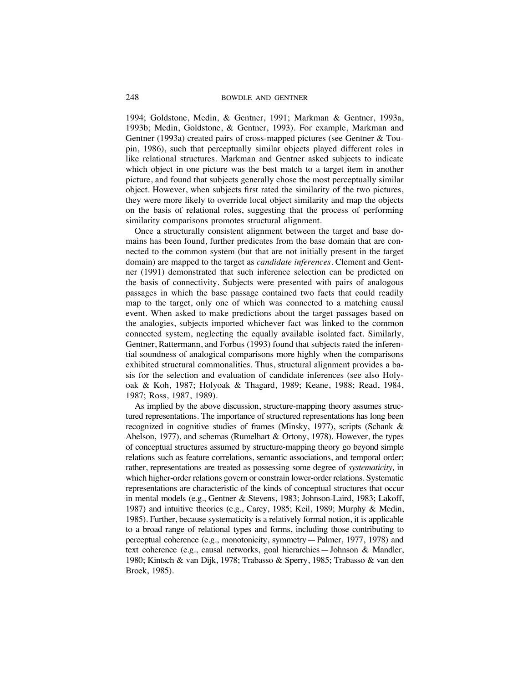## 248 BOWDLE AND GENTNER

1994; Goldstone, Medin, & Gentner, 1991; Markman & Gentner, 1993a, 1993b; Medin, Goldstone, & Gentner, 1993). For example, Markman and Gentner (1993a) created pairs of cross-mapped pictures (see Gentner & Toupin, 1986), such that perceptually similar objects played different roles in like relational structures. Markman and Gentner asked subjects to indicate which object in one picture was the best match to a target item in another picture, and found that subjects generally chose the most perceptually similar object. However, when subjects first rated the similarity of the two pictures, they were more likely to override local object similarity and map the objects on the basis of relational roles, suggesting that the process of performing similarity comparisons promotes structural alignment.

Once a structurally consistent alignment between the target and base domains has been found, further predicates from the base domain that are connected to the common system (but that are not initially present in the target domain) are mapped to the target as *candidate inferences.* Clement and Gentner (1991) demonstrated that such inference selection can be predicted on the basis of connectivity. Subjects were presented with pairs of analogous passages in which the base passage contained two facts that could readily map to the target, only one of which was connected to a matching causal event. When asked to make predictions about the target passages based on the analogies, subjects imported whichever fact was linked to the common connected system, neglecting the equally available isolated fact. Similarly, Gentner, Rattermann, and Forbus (1993) found that subjects rated the inferential soundness of analogical comparisons more highly when the comparisons exhibited structural commonalities. Thus, structural alignment provides a basis for the selection and evaluation of candidate inferences (see also Holyoak & Koh, 1987; Holyoak & Thagard, 1989; Keane, 1988; Read, 1984, 1987; Ross, 1987, 1989).

As implied by the above discussion, structure-mapping theory assumes structured representations. The importance of structured representations has long been recognized in cognitive studies of frames (Minsky, 1977), scripts (Schank & Abelson, 1977), and schemas (Rumelhart & Ortony, 1978). However, the types of conceptual structures assumed by structure-mapping theory go beyond simple relations such as feature correlations, semantic associations, and temporal order; rather, representations are treated as possessing some degree of *systematicity,* in which higher-order relations govern or constrain lower-order relations. Systematic representations are characteristic of the kinds of conceptual structures that occur in mental models (e.g., Gentner & Stevens, 1983; Johnson-Laird, 1983; Lakoff, 1987) and intuitive theories (e.g., Carey, 1985; Keil, 1989; Murphy & Medin, 1985). Further, because systematicity is a relatively formal notion, it is applicable to a broad range of relational types and forms, including those contributing to perceptual coherence (e.g., monotonicity, symmetry—Palmer, 1977, 1978) and text coherence (e.g., causal networks, goal hierarchies—Johnson & Mandler, 1980; Kintsch & van Dijk, 1978; Trabasso & Sperry, 1985; Trabasso & van den Broek, 1985).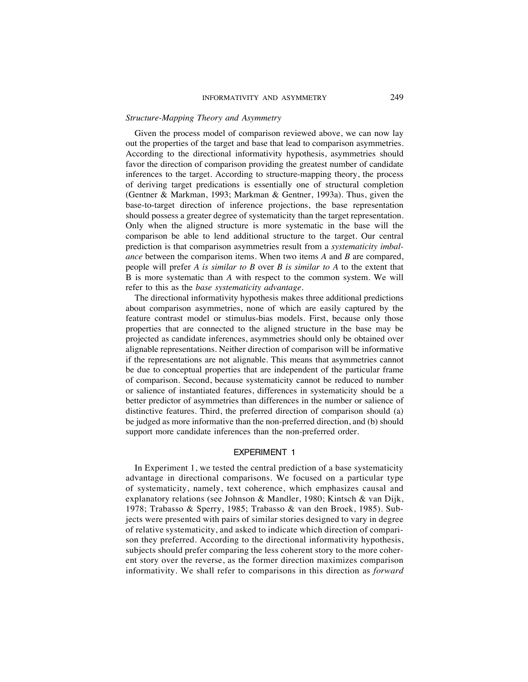## *Structure-Mapping Theory and Asymmetry*

Given the process model of comparison reviewed above, we can now lay out the properties of the target and base that lead to comparison asymmetries. According to the directional informativity hypothesis, asymmetries should favor the direction of comparison providing the greatest number of candidate inferences to the target. According to structure-mapping theory, the process of deriving target predications is essentially one of structural completion (Gentner & Markman, 1993; Markman & Gentner, 1993a). Thus, given the base-to-target direction of inference projections, the base representation should possess a greater degree of systematicity than the target representation. Only when the aligned structure is more systematic in the base will the comparison be able to lend additional structure to the target. Our central prediction is that comparison asymmetries result from a *systematicity imbalance* between the comparison items. When two items *A* and *B* are compared, people will prefer *A is similar to B* over *B is similar to A* to the extent that B is more systematic than *A* with respect to the common system. We will refer to this as the *base systematicity advantage.*

The directional informativity hypothesis makes three additional predictions about comparison asymmetries, none of which are easily captured by the feature contrast model or stimulus-bias models. First, because only those properties that are connected to the aligned structure in the base may be projected as candidate inferences, asymmetries should only be obtained over alignable representations. Neither direction of comparison will be informative if the representations are not alignable. This means that asymmetries cannot be due to conceptual properties that are independent of the particular frame of comparison. Second, because systematicity cannot be reduced to number or salience of instantiated features, differences in systematicity should be a better predictor of asymmetries than differences in the number or salience of distinctive features. Third, the preferred direction of comparison should (a) be judged as more informative than the non-preferred direction, and (b) should support more candidate inferences than the non-preferred order.

## EXPERIMENT 1

In Experiment 1, we tested the central prediction of a base systematicity advantage in directional comparisons. We focused on a particular type of systematicity, namely, text coherence, which emphasizes causal and explanatory relations (see Johnson & Mandler, 1980; Kintsch & van Dijk, 1978; Trabasso & Sperry, 1985; Trabasso & van den Broek, 1985). Subjects were presented with pairs of similar stories designed to vary in degree of relative systematicity, and asked to indicate which direction of comparison they preferred. According to the directional informativity hypothesis, subjects should prefer comparing the less coherent story to the more coherent story over the reverse, as the former direction maximizes comparison informativity. We shall refer to comparisons in this direction as *forward*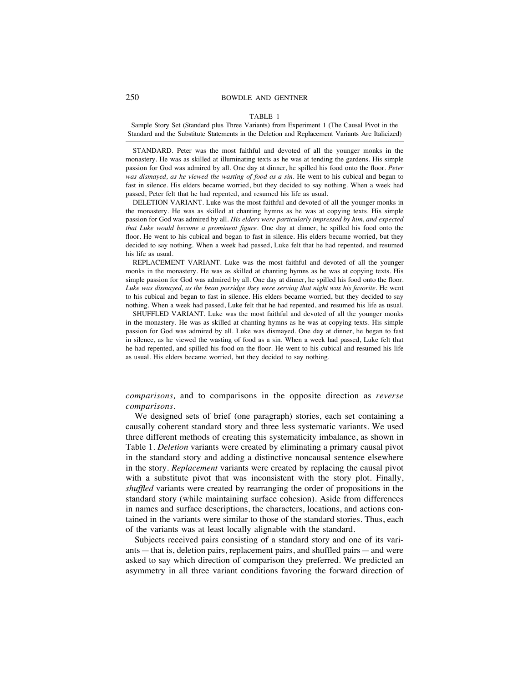#### TABLE 1

Sample Story Set (Standard plus Three Variants) from Experiment 1 (The Causal Pivot in the Standard and the Substitute Statements in the Deletion and Replacement Variants Are Italicized)

STANDARD. Peter was the most faithful and devoted of all the younger monks in the monastery. He was as skilled at illuminating texts as he was at tending the gardens. His simple passion for God was admired by all. One day at dinner, he spilled his food onto the floor. *Peter was dismayed, as he viewed the wasting of food as a sin.* He went to his cubical and began to fast in silence. His elders became worried, but they decided to say nothing. When a week had passed, Peter felt that he had repented, and resumed his life as usual.

DELETION VARIANT. Luke was the most faithful and devoted of all the younger monks in the monastery. He was as skilled at chanting hymns as he was at copying texts. His simple passion for God was admired by all. *His elders were particularly impressed by him, and expected that Luke would become a prominent figure.* One day at dinner, he spilled his food onto the floor. He went to his cubical and began to fast in silence. His elders became worried, but they decided to say nothing. When a week had passed, Luke felt that he had repented, and resumed his life as usual.

REPLACEMENT VARIANT. Luke was the most faithful and devoted of all the younger monks in the monastery. He was as skilled at chanting hymns as he was at copying texts. His simple passion for God was admired by all. One day at dinner, he spilled his food onto the floor. *Luke was dismayed, as the bean porridge they were serving that night was his favorite.* He went to his cubical and began to fast in silence. His elders became worried, but they decided to say nothing. When a week had passed, Luke felt that he had repented, and resumed his life as usual.

SHUFFLED VARIANT. Luke was the most faithful and devoted of all the younger monks in the monastery. He was as skilled at chanting hymns as he was at copying texts. His simple passion for God was admired by all. Luke was dismayed. One day at dinner, he began to fast in silence, as he viewed the wasting of food as a sin. When a week had passed, Luke felt that he had repented, and spilled his food on the floor. He went to his cubical and resumed his life as usual. His elders became worried, but they decided to say nothing.

*comparisons,* and to comparisons in the opposite direction as *reverse comparisons.*

We designed sets of brief (one paragraph) stories, each set containing a causally coherent standard story and three less systematic variants. We used three different methods of creating this systematicity imbalance, as shown in Table 1. *Deletion* variants were created by eliminating a primary causal pivot in the standard story and adding a distinctive noncausal sentence elsewhere in the story. *Replacement* variants were created by replacing the causal pivot with a substitute pivot that was inconsistent with the story plot. Finally, *shuffled* variants were created by rearranging the order of propositions in the standard story (while maintaining surface cohesion). Aside from differences in names and surface descriptions, the characters, locations, and actions contained in the variants were similar to those of the standard stories. Thus, each of the variants was at least locally alignable with the standard.

Subjects received pairs consisting of a standard story and one of its variants—that is, deletion pairs, replacement pairs, and shuffled pairs—and were asked to say which direction of comparison they preferred. We predicted an asymmetry in all three variant conditions favoring the forward direction of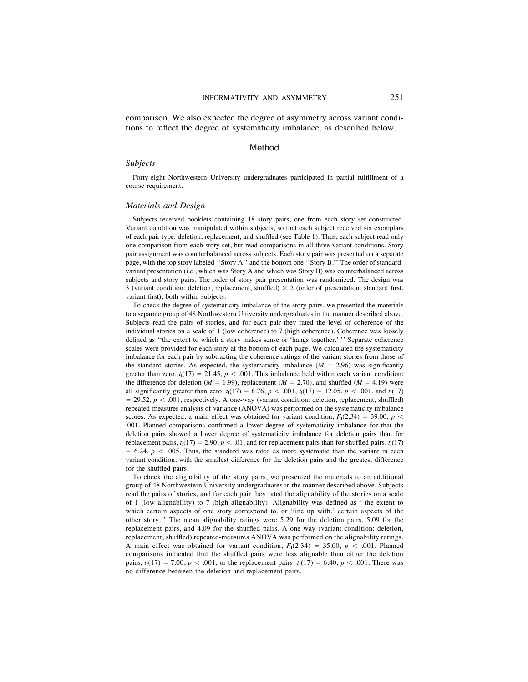comparison. We also expected the degree of asymmetry across variant conditions to reflect the degree of systematicity imbalance, as described below.

## Method

## *Subjects*

Forty-eight Northwestern University undergraduates participated in partial fulfillment of a course requirement.

## *Materials and Design*

Subjects received booklets containing 18 story pairs, one from each story set constructed. Variant condition was manipulated within subjects, so that each subject received six exemplars of each pair type: deletion, replacement, and shuffled (see Table 1). Thus, each subject read only one comparison from each story set, but read comparisons in all three variant conditions. Story pair assignment was counterbalanced across subjects. Each story pair was presented on a separate page, with the top story labeled ''Story A'' and the bottom one ''Story B.'' The order of standardvariant presentation (i.e., which was Story A and which was Story B) was counterbalanced across subjects and story pairs. The order of story pair presentation was randomized. The design was 3 (variant condition: deletion, replacement, shuffled)  $\times$  2 (order of presentation: standard first, variant first), both within subjects.

To check the degree of systematicity imbalance of the story pairs, we presented the materials to a separate group of 48 Northwestern University undergraduates in the manner described above. Subjects read the pairs of stories, and for each pair they rated the level of coherence of the individual stories on a scale of 1 (low coherence) to 7 (high coherence). Coherence was loosely defined as ''the extent to which a story makes sense or 'hangs together.' '' Separate coherence scales were provided for each story at the bottom of each page. We calculated the systematicity imbalance for each pair by subtracting the coherence ratings of the variant stories from those of the standard stories. As expected, the systematicity imbalance  $(M = 2.96)$  was significantly greater than zero,  $t_1(17) = 21.45$ ,  $p < .001$ . This imbalance held within each variant condition: the difference for deletion ( $M = 1.99$ ), replacement ( $M = 2.70$ ), and shuffled ( $M = 4.19$ ) were all significantly greater than zero,  $t_1(17) = 8.76$ ,  $p < .001$ ,  $t_1(17) = 12.05$ ,  $p < .001$ , and  $t_1(17)$  $=$  29.52,  $p < .001$ , respectively. A one-way (variant condition: deletion, replacement, shuffled) repeated-measures analysis of variance (ANOVA) was performed on the systematicity imbalance scores. As expected, a main effect was obtained for variant condition,  $F_1(2,34) = 39.00$ ,  $p <$ .001. Planned comparisons confirmed a lower degree of systematicity imbalance for that the deletion pairs showed a lower degree of systematicity imbalance for deletion pairs than for replacement pairs,  $t_1(17) = 2.90$ ,  $p < .01$ , and for replacement pairs than for shuffled pairs,  $t_1(17)$  $= 6.24, p < .005$ . Thus, the standard was rated as more systematic than the variant in each variant condition, with the smallest difference for the deletion pairs and the greatest difference for the shuffled pairs.

To check the alignability of the story pairs, we presented the materials to an additional group of 48 Northwestern University undergraduates in the manner described above. Subjects read the pairs of stories, and for each pair they rated the alignability of the stories on a scale of 1 (low alignability) to 7 (high alignability). Alignability was defined as ''the extent to which certain aspects of one story correspond to, or 'line up with,' certain aspects of the other story.'' The mean alignability ratings were 5.29 for the deletion pairs, 5.09 for the replacement pairs, and 4.09 for the shuffled pairs. A one-way (variant condition: deletion, replacement, shuffled) repeated-measures ANOVA was performed on the alignability ratings. A main effect was obtained for variant condition,  $F_1(2,34) = 35.00$ ,  $p < .001$ . Planned comparisons indicated that the shuffled pairs were less alignable than either the deletion pairs,  $t_1(17) = 7.00$ ,  $p < .001$ , or the replacement pairs,  $t_1(17) = 6.40$ ,  $p < .001$ . There was no difference between the deletion and replacement pairs.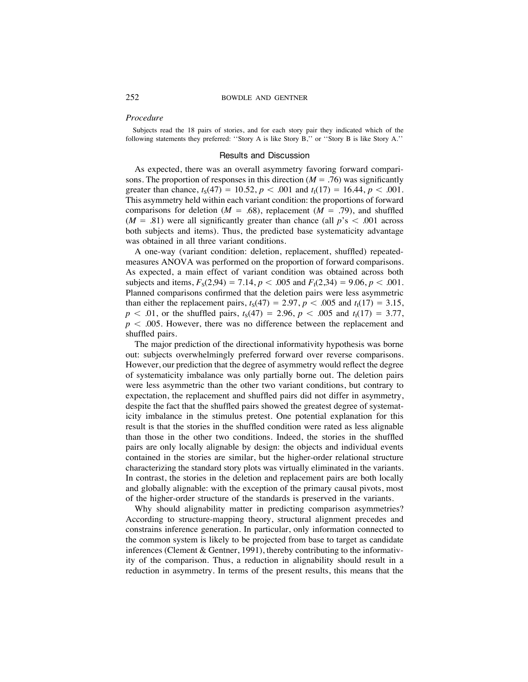## *Procedure*

Subjects read the 18 pairs of stories, and for each story pair they indicated which of the following statements they preferred: ''Story A is like Story B,'' or ''Story B is like Story A.''

#### Results and Discussion

As expected, there was an overall asymmetry favoring forward comparisons. The proportion of responses in this direction  $(M = .76)$  was significantly greater than chance,  $t_s(47) = 10.52$ ,  $p < .001$  and  $t_l(17) = 16.44$ ,  $p < .001$ . This asymmetry held within each variant condition: the proportions of forward comparisons for deletion ( $M = .68$ ), replacement ( $M = .79$ ), and shuffled  $(M = .81)$  were all significantly greater than chance (all  $p$ 's  $< .001$  across both subjects and items). Thus, the predicted base systematicity advantage was obtained in all three variant conditions.

A one-way (variant condition: deletion, replacement, shuffled) repeatedmeasures ANOVA was performed on the proportion of forward comparisons. As expected, a main effect of variant condition was obtained across both subjects and items,  $F_S(2,94) = 7.14$ ,  $p < .005$  and  $F_I(2,34) = 9.06$ ,  $p < .001$ . Planned comparisons confirmed that the deletion pairs were less asymmetric than either the replacement pairs,  $t_s(47) = 2.97$ ,  $p < .005$  and  $t_l(17) = 3.15$ ,  $p < .01$ , or the shuffled pairs,  $t_s(47) = 2.96$ ,  $p < .005$  and  $t_1(17) = 3.77$ ,  $p < .005$ . However, there was no difference between the replacement and shuffled pairs.

The major prediction of the directional informativity hypothesis was borne out: subjects overwhelmingly preferred forward over reverse comparisons. However, our prediction that the degree of asymmetry would reflect the degree of systematicity imbalance was only partially borne out. The deletion pairs were less asymmetric than the other two variant conditions, but contrary to expectation, the replacement and shuffled pairs did not differ in asymmetry, despite the fact that the shuffled pairs showed the greatest degree of systematicity imbalance in the stimulus pretest. One potential explanation for this result is that the stories in the shuffled condition were rated as less alignable than those in the other two conditions. Indeed, the stories in the shuffled pairs are only locally alignable by design: the objects and individual events contained in the stories are similar, but the higher-order relational structure characterizing the standard story plots was virtually eliminated in the variants. In contrast, the stories in the deletion and replacement pairs are both locally and globally alignable: with the exception of the primary causal pivots, most of the higher-order structure of the standards is preserved in the variants.

Why should alignability matter in predicting comparison asymmetries? According to structure-mapping theory, structural alignment precedes and constrains inference generation. In particular, only information connected to the common system is likely to be projected from base to target as candidate inferences (Clement & Gentner, 1991), thereby contributing to the informativity of the comparison. Thus, a reduction in alignability should result in a reduction in asymmetry. In terms of the present results, this means that the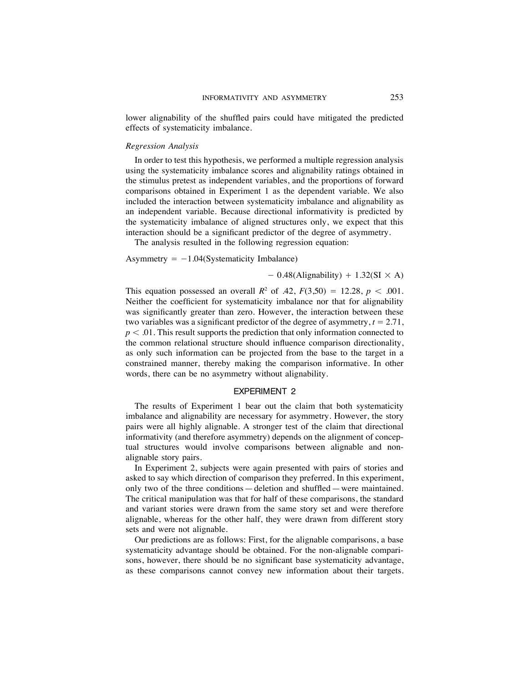lower alignability of the shuffled pairs could have mitigated the predicted effects of systematicity imbalance.

## *Regression Analysis*

In order to test this hypothesis, we performed a multiple regression analysis using the systematicity imbalance scores and alignability ratings obtained in the stimulus pretest as independent variables, and the proportions of forward comparisons obtained in Experiment 1 as the dependent variable. We also included the interaction between systematicity imbalance and alignability as an independent variable. Because directional informativity is predicted by the systematicity imbalance of aligned structures only, we expect that this interaction should be a significant predictor of the degree of asymmetry.

The analysis resulted in the following regression equation:

## Asymmetry  $= -1.04$ (Systematicity Imbalance)

 $-$  0.48(Alignability) + 1.32(SI  $\times$  A)

This equation possessed an overall  $R^2$  of .42,  $F(3,50) = 12.28$ ,  $p < .001$ . Neither the coefficient for systematicity imbalance nor that for alignability was significantly greater than zero. However, the interaction between these two variables was a significant predictor of the degree of asymmetry,  $t = 2.71$ ,  $p < .01$ . This result supports the prediction that only information connected to the common relational structure should influence comparison directionality, as only such information can be projected from the base to the target in a constrained manner, thereby making the comparison informative. In other words, there can be no asymmetry without alignability.

# EXPERIMENT 2

The results of Experiment 1 bear out the claim that both systematicity imbalance and alignability are necessary for asymmetry. However, the story pairs were all highly alignable. A stronger test of the claim that directional informativity (and therefore asymmetry) depends on the alignment of conceptual structures would involve comparisons between alignable and nonalignable story pairs.

In Experiment 2, subjects were again presented with pairs of stories and asked to say which direction of comparison they preferred. In this experiment, only two of the three conditions—deletion and shuffled—were maintained. The critical manipulation was that for half of these comparisons, the standard and variant stories were drawn from the same story set and were therefore alignable, whereas for the other half, they were drawn from different story sets and were not alignable.

Our predictions are as follows: First, for the alignable comparisons, a base systematicity advantage should be obtained. For the non-alignable comparisons, however, there should be no significant base systematicity advantage, as these comparisons cannot convey new information about their targets.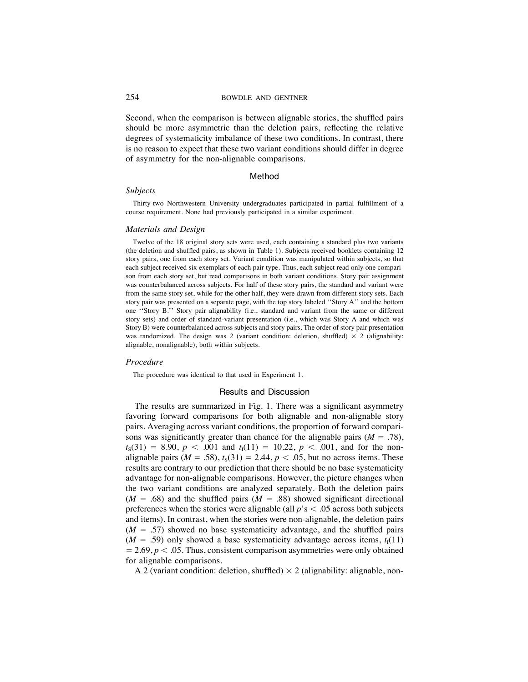## 254 BOWDLE AND GENTNER

Second, when the comparison is between alignable stories, the shuffled pairs should be more asymmetric than the deletion pairs, reflecting the relative degrees of systematicity imbalance of these two conditions. In contrast, there is no reason to expect that these two variant conditions should differ in degree of asymmetry for the non-alignable comparisons.

#### Method

## *Subjects*

Thirty-two Northwestern University undergraduates participated in partial fulfillment of a course requirement. None had previously participated in a similar experiment.

#### *Materials and Design*

Twelve of the 18 original story sets were used, each containing a standard plus two variants (the deletion and shuffled pairs, as shown in Table 1). Subjects received booklets containing 12 story pairs, one from each story set. Variant condition was manipulated within subjects, so that each subject received six exemplars of each pair type. Thus, each subject read only one comparison from each story set, but read comparisons in both variant conditions. Story pair assignment was counterbalanced across subjects. For half of these story pairs, the standard and variant were from the same story set, while for the other half, they were drawn from different story sets. Each story pair was presented on a separate page, with the top story labeled ''Story A'' and the bottom one ''Story B.'' Story pair alignability (i.e., standard and variant from the same or different story sets) and order of standard-variant presentation (i.e., which was Story A and which was Story B) were counterbalanced across subjects and story pairs. The order of story pair presentation was randomized. The design was 2 (variant condition: deletion, shuffled)  $\times$  2 (alignability: alignable, nonalignable), both within subjects.

#### *Procedure*

The procedure was identical to that used in Experiment 1.

## Results and Discussion

The results are summarized in Fig. 1. There was a significant asymmetry favoring forward comparisons for both alignable and non-alignable story pairs. Averaging across variant conditions, the proportion of forward comparisons was significantly greater than chance for the alignable pairs  $(M = .78)$ ,  $t<sub>S</sub>(31) = 8.90, p < .001$  and  $t<sub>1</sub>(11) = 10.22, p < .001$ , and for the nonalignable pairs ( $M = .58$ ),  $t_s(31) = 2.44$ ,  $p < .05$ , but no across items. These results are contrary to our prediction that there should be no base systematicity advantage for non-alignable comparisons. However, the picture changes when the two variant conditions are analyzed separately. Both the deletion pairs  $(M = .68)$  and the shuffled pairs  $(M = .88)$  showed significant directional preferences when the stories were alignable (all  $p$ 's  $\lt$  .05 across both subjects and items). In contrast, when the stories were non-alignable, the deletion pairs  $(M = .57)$  showed no base systematicity advantage, and the shuffled pairs  $(M = .59)$  only showed a base systematicity advantage across items,  $t_1(11)$  $= 2.69, p < .05$ . Thus, consistent comparison asymmetries were only obtained for alignable comparisons.

A 2 (variant condition: deletion, shuffled)  $\times$  2 (alignability: alignable, non-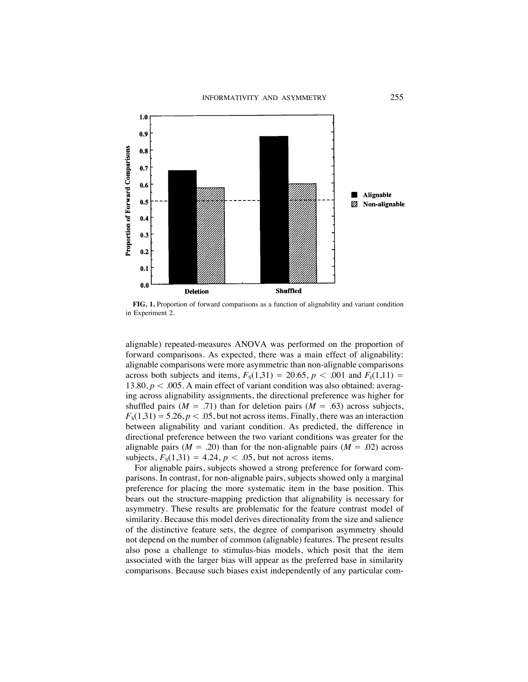

**FIG. 1.** Proportion of forward comparisons as a function of alignability and variant condition in Experiment 2.

alignable) repeated-measures ANOVA was performed on the proportion of forward comparisons. As expected, there was a main effect of alignability: alignable comparisons were more asymmetric than non-alignable comparisons across both subjects and items,  $F_S(1,31) = 20.65$ ,  $p < .001$  and  $F_I(1,11) =$ 13.80,  $p < .005$ . A main effect of variant condition was also obtained: averaging across alignability assignments, the directional preference was higher for shuffled pairs ( $M = .71$ ) than for deletion pairs ( $M = .63$ ) across subjects,  $F_s(1,31) = 5.26, p < .05$ , but not across items. Finally, there was an interaction between alignability and variant condition. As predicted, the difference in directional preference between the two variant conditions was greater for the alignable pairs ( $M = .20$ ) than for the non-alignable pairs ( $M = .02$ ) across subjects,  $F_S(1,31) = 4.24$ ,  $p < .05$ , but not across items.

For alignable pairs, subjects showed a strong preference for forward comparisons. In contrast, for non-alignable pairs, subjects showed only a marginal preference for placing the more systematic item in the base position. This bears out the structure-mapping prediction that alignability is necessary for asymmetry. These results are problematic for the feature contrast model of similarity. Because this model derives directionality from the size and salience of the distinctive feature sets, the degree of comparison asymmetry should not depend on the number of common (alignable) features. The present results also pose a challenge to stimulus-bias models, which posit that the item associated with the larger bias will appear as the preferred base in similarity comparisons. Because such biases exist independently of any particular com-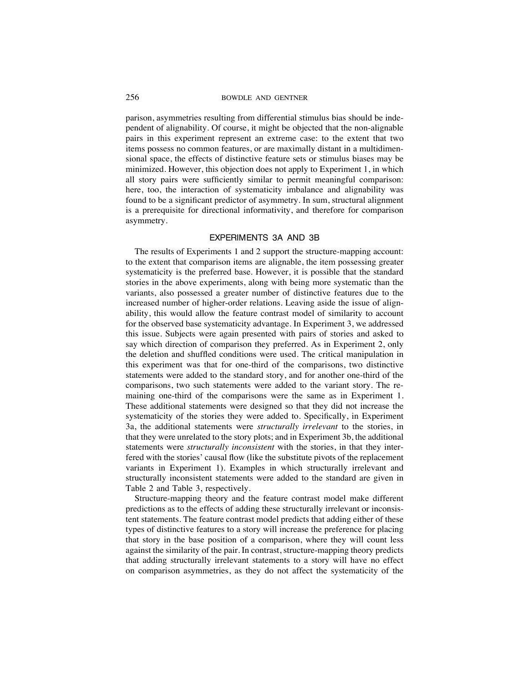parison, asymmetries resulting from differential stimulus bias should be independent of alignability. Of course, it might be objected that the non-alignable pairs in this experiment represent an extreme case: to the extent that two items possess no common features, or are maximally distant in a multidimensional space, the effects of distinctive feature sets or stimulus biases may be minimized. However, this objection does not apply to Experiment 1, in which all story pairs were sufficiently similar to permit meaningful comparison: here, too, the interaction of systematicity imbalance and alignability was found to be a significant predictor of asymmetry. In sum, structural alignment is a prerequisite for directional informativity, and therefore for comparison asymmetry.

# EXPERIMENTS 3A AND 3B

The results of Experiments 1 and 2 support the structure-mapping account: to the extent that comparison items are alignable, the item possessing greater systematicity is the preferred base. However, it is possible that the standard stories in the above experiments, along with being more systematic than the variants, also possessed a greater number of distinctive features due to the increased number of higher-order relations. Leaving aside the issue of alignability, this would allow the feature contrast model of similarity to account for the observed base systematicity advantage. In Experiment 3, we addressed this issue. Subjects were again presented with pairs of stories and asked to say which direction of comparison they preferred. As in Experiment 2, only the deletion and shuffled conditions were used. The critical manipulation in this experiment was that for one-third of the comparisons, two distinctive statements were added to the standard story, and for another one-third of the comparisons, two such statements were added to the variant story. The remaining one-third of the comparisons were the same as in Experiment 1. These additional statements were designed so that they did not increase the systematicity of the stories they were added to. Specifically, in Experiment 3a, the additional statements were *structurally irrelevant* to the stories, in that they were unrelated to the story plots; and in Experiment 3b, the additional statements were *structurally inconsistent* with the stories, in that they interfered with the stories' causal flow (like the substitute pivots of the replacement variants in Experiment 1). Examples in which structurally irrelevant and structurally inconsistent statements were added to the standard are given in Table 2 and Table 3, respectively.

Structure-mapping theory and the feature contrast model make different predictions as to the effects of adding these structurally irrelevant or inconsistent statements. The feature contrast model predicts that adding either of these types of distinctive features to a story will increase the preference for placing that story in the base position of a comparison, where they will count less against the similarity of the pair. In contrast, structure-mapping theory predicts that adding structurally irrelevant statements to a story will have no effect on comparison asymmetries, as they do not affect the systematicity of the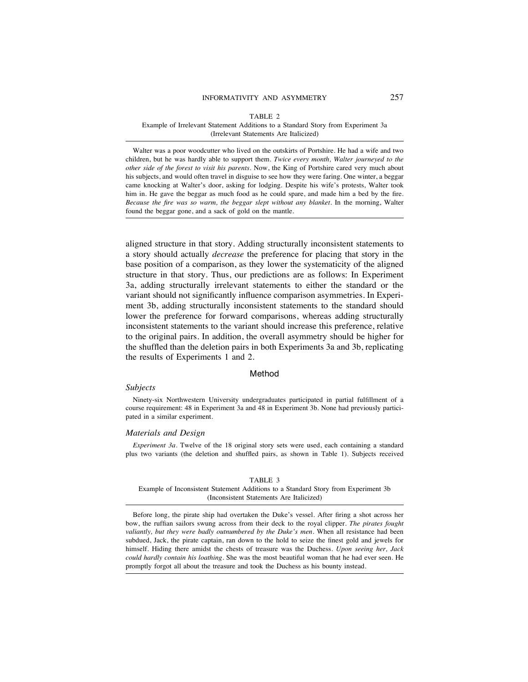#### TABLE 2

## Example of Irrelevant Statement Additions to a Standard Story from Experiment 3a (Irrelevant Statements Are Italicized)

Walter was a poor woodcutter who lived on the outskirts of Portshire. He had a wife and two children, but he was hardly able to support them. *Twice every month, Walter journeyed to the other side of the forest to visit his parents.* Now, the King of Portshire cared very much about his subjects, and would often travel in disguise to see how they were faring. One winter, a beggar came knocking at Walter's door, asking for lodging. Despite his wife's protests, Walter took him in. He gave the beggar as much food as he could spare, and made him a bed by the fire. *Because the fire was so warm, the beggar slept without any blanket.* In the morning, Walter found the beggar gone, and a sack of gold on the mantle.

aligned structure in that story. Adding structurally inconsistent statements to a story should actually *decrease* the preference for placing that story in the base position of a comparison, as they lower the systematicity of the aligned structure in that story. Thus, our predictions are as follows: In Experiment 3a, adding structurally irrelevant statements to either the standard or the variant should not significantly influence comparison asymmetries. In Experiment 3b, adding structurally inconsistent statements to the standard should lower the preference for forward comparisons, whereas adding structurally inconsistent statements to the variant should increase this preference, relative to the original pairs. In addition, the overall asymmetry should be higher for the shuffled than the deletion pairs in both Experiments 3a and 3b, replicating the results of Experiments 1 and 2.

#### Method

## *Subjects*

Ninety-six Northwestern University undergraduates participated in partial fulfillment of a course requirement: 48 in Experiment 3a and 48 in Experiment 3b. None had previously participated in a similar experiment.

### *Materials and Design*

*Experiment 3a.* Twelve of the 18 original story sets were used, each containing a standard plus two variants (the deletion and shuffled pairs, as shown in Table 1). Subjects received

#### TABLE 3

Example of Inconsistent Statement Additions to a Standard Story from Experiment 3b (Inconsistent Statements Are Italicized)

Before long, the pirate ship had overtaken the Duke's vessel. After firing a shot across her bow, the ruffian sailors swung across from their deck to the royal clipper. *The pirates fought valiantly, but they were badly outnumbered by the Duke's men.* When all resistance had been subdued, Jack, the pirate captain, ran down to the hold to seize the finest gold and jewels for himself. Hiding there amidst the chests of treasure was the Duchess. *Upon seeing her, Jack could hardly contain his loathing.* She was the most beautiful woman that he had ever seen. He promptly forgot all about the treasure and took the Duchess as his bounty instead.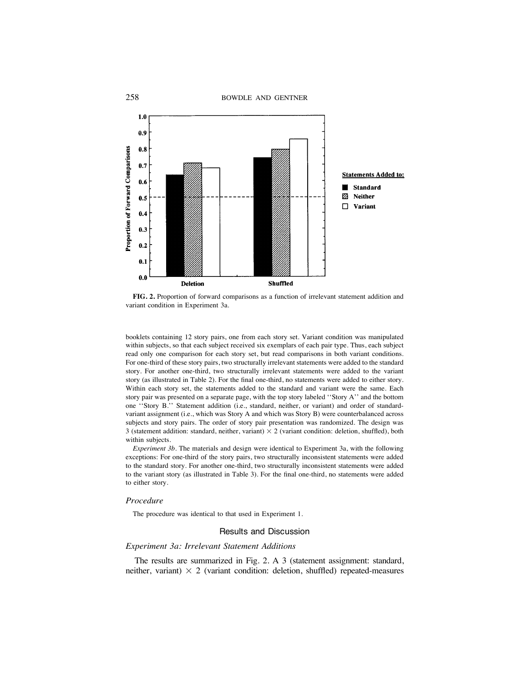

**FIG. 2.** Proportion of forward comparisons as a function of irrelevant statement addition and variant condition in Experiment 3a.

booklets containing 12 story pairs, one from each story set. Variant condition was manipulated within subjects, so that each subject received six exemplars of each pair type. Thus, each subject read only one comparison for each story set, but read comparisons in both variant conditions. For one-third of these story pairs, two structurally irrelevant statements were added to the standard story. For another one-third, two structurally irrelevant statements were added to the variant story (as illustrated in Table 2). For the final one-third, no statements were added to either story. Within each story set, the statements added to the standard and variant were the same. Each story pair was presented on a separate page, with the top story labeled ''Story A'' and the bottom one ''Story B.'' Statement addition (i.e., standard, neither, or variant) and order of standardvariant assignment (i.e., which was Story A and which was Story B) were counterbalanced across subjects and story pairs. The order of story pair presentation was randomized. The design was 3 (statement addition: standard, neither, variant)  $\times$  2 (variant condition: deletion, shuffled), both within subjects.

*Experiment 3b.* The materials and design were identical to Experiment 3a, with the following exceptions: For one-third of the story pairs, two structurally inconsistent statements were added to the standard story. For another one-third, two structurally inconsistent statements were added to the variant story (as illustrated in Table 3). For the final one-third, no statements were added to either story.

## *Procedure*

The procedure was identical to that used in Experiment 1.

## Results and Discussion

# *Experiment 3a: Irrelevant Statement Additions*

The results are summarized in Fig. 2. A 3 (statement assignment: standard, neither, variant)  $\times$  2 (variant condition: deletion, shuffled) repeated-measures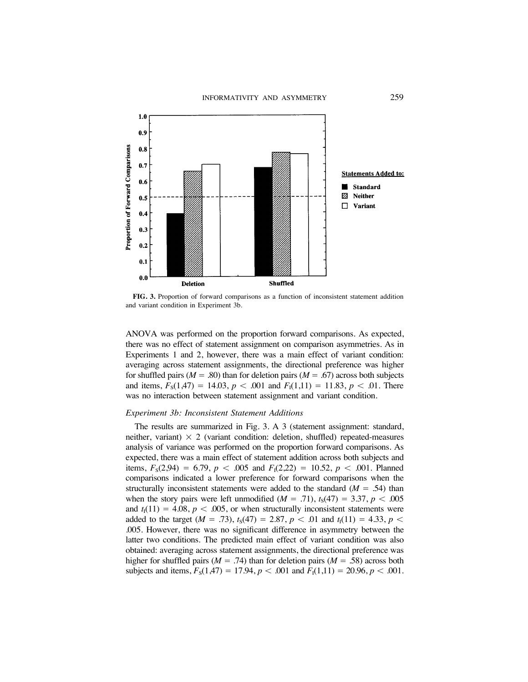

**FIG. 3.** Proportion of forward comparisons as a function of inconsistent statement addition and variant condition in Experiment 3b.

ANOVA was performed on the proportion forward comparisons. As expected, there was no effect of statement assignment on comparison asymmetries. As in Experiments 1 and 2, however, there was a main effect of variant condition: averaging across statement assignments, the directional preference was higher for shuffled pairs ( $M = .80$ ) than for deletion pairs ( $M = .67$ ) across both subjects and items,  $F_S(1,47) = 14.03$ ,  $p < .001$  and  $F_I(1,11) = 11.83$ ,  $p < .01$ . There was no interaction between statement assignment and variant condition.

# *Experiment 3b: Inconsistent Statement Additions*

The results are summarized in Fig. 3. A 3 (statement assignment: standard, neither, variant)  $\times$  2 (variant condition: deletion, shuffled) repeated-measures analysis of variance was performed on the proportion forward comparisons. As expected, there was a main effect of statement addition across both subjects and items,  $F_S(2,94) = 6.79$ ,  $p < .005$  and  $F_I(2,22) = 10.52$ ,  $p < .001$ . Planned comparisons indicated a lower preference for forward comparisons when the structurally inconsistent statements were added to the standard  $(M = .54)$  than when the story pairs were left unmodified  $(M = .71)$ ,  $t_s(47) = 3.37$ ,  $p < .005$ and  $t_1(11) = 4.08$ ,  $p < .005$ , or when structurally inconsistent statements were added to the target ( $M = .73$ ),  $t_s(47) = 2.87$ ,  $p < .01$  and  $t_i(11) = 4.33$ ,  $p <$ .005. However, there was no significant difference in asymmetry between the latter two conditions. The predicted main effect of variant condition was also obtained: averaging across statement assignments, the directional preference was higher for shuffled pairs ( $M = .74$ ) than for deletion pairs ( $M = .58$ ) across both subjects and items,  $F_S(1,47) = 17.94$ ,  $p < .001$  and  $F_I(1,11) = 20.96$ ,  $p < .001$ .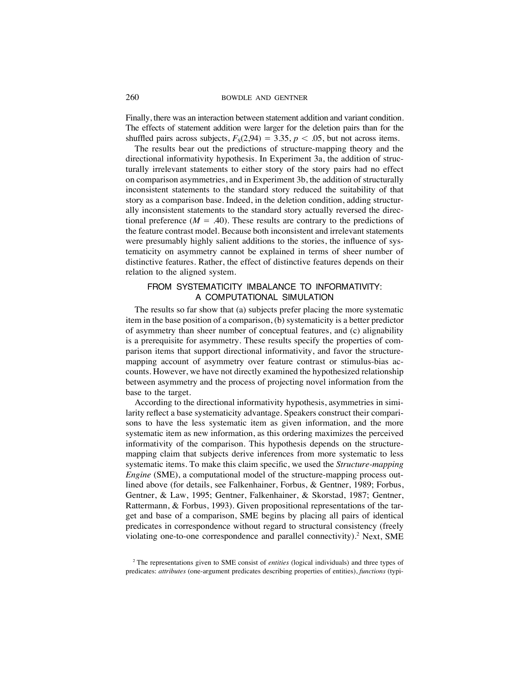Finally, there was an interaction between statement addition and variant condition. The effects of statement addition were larger for the deletion pairs than for the shuffled pairs across subjects,  $F_S(2,94) = 3.35$ ,  $p < .05$ , but not across items.

The results bear out the predictions of structure-mapping theory and the directional informativity hypothesis. In Experiment 3a, the addition of structurally irrelevant statements to either story of the story pairs had no effect on comparison asymmetries, and in Experiment 3b, the addition of structurally inconsistent statements to the standard story reduced the suitability of that story as a comparison base. Indeed, in the deletion condition, adding structurally inconsistent statements to the standard story actually reversed the directional preference  $(M = .40)$ . These results are contrary to the predictions of the feature contrast model. Because both inconsistent and irrelevant statements were presumably highly salient additions to the stories, the influence of systematicity on asymmetry cannot be explained in terms of sheer number of distinctive features. Rather, the effect of distinctive features depends on their relation to the aligned system.

# FROM SYSTEMATICITY IMBALANCE TO INFORMATIVITY: A COMPUTATIONAL SIMULATION

The results so far show that (a) subjects prefer placing the more systematic item in the base position of a comparison, (b) systematicity is a better predictor of asymmetry than sheer number of conceptual features, and (c) alignability is a prerequisite for asymmetry. These results specify the properties of comparison items that support directional informativity, and favor the structuremapping account of asymmetry over feature contrast or stimulus-bias accounts. However, we have not directly examined the hypothesized relationship between asymmetry and the process of projecting novel information from the base to the target.

According to the directional informativity hypothesis, asymmetries in similarity reflect a base systematicity advantage. Speakers construct their comparisons to have the less systematic item as given information, and the more systematic item as new information, as this ordering maximizes the perceived informativity of the comparison. This hypothesis depends on the structuremapping claim that subjects derive inferences from more systematic to less systematic items. To make this claim specific, we used the *Structure-mapping Engine* (SME), a computational model of the structure-mapping process outlined above (for details, see Falkenhainer, Forbus, & Gentner, 1989; Forbus, Gentner, & Law, 1995; Gentner, Falkenhainer, & Skorstad, 1987; Gentner, Rattermann, & Forbus, 1993). Given propositional representations of the target and base of a comparison, SME begins by placing all pairs of identical predicates in correspondence without regard to structural consistency (freely violating one-to-one correspondence and parallel connectivity).2 Next, SME

<sup>2</sup> The representations given to SME consist of *entities* (logical individuals) and three types of predicates: *attributes* (one-argument predicates describing properties of entities), *functions* (typi-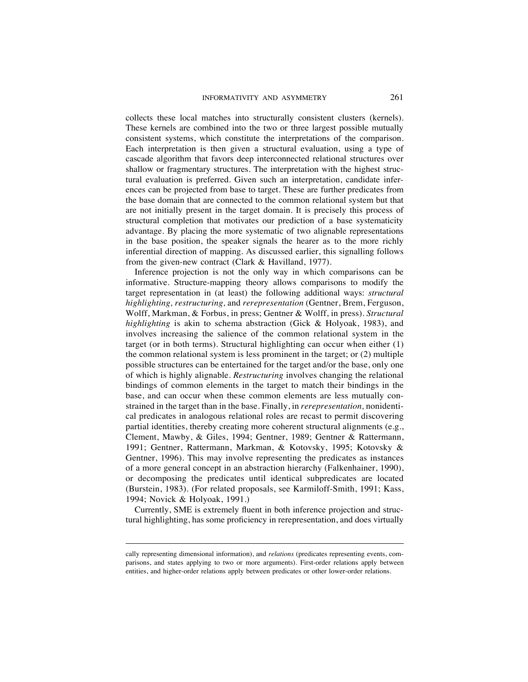collects these local matches into structurally consistent clusters (kernels). These kernels are combined into the two or three largest possible mutually consistent systems, which constitute the interpretations of the comparison. Each interpretation is then given a structural evaluation, using a type of cascade algorithm that favors deep interconnected relational structures over shallow or fragmentary structures. The interpretation with the highest structural evaluation is preferred. Given such an interpretation, candidate inferences can be projected from base to target. These are further predicates from the base domain that are connected to the common relational system but that are not initially present in the target domain. It is precisely this process of structural completion that motivates our prediction of a base systematicity advantage. By placing the more systematic of two alignable representations in the base position, the speaker signals the hearer as to the more richly inferential direction of mapping. As discussed earlier, this signalling follows from the given-new contract (Clark & Havilland, 1977).

Inference projection is not the only way in which comparisons can be informative. Structure-mapping theory allows comparisons to modify the target representation in (at least) the following additional ways: *structural highlighting, restructuring,* and *rerepresentation* (Gentner, Brem, Ferguson, Wolff, Markman, & Forbus, in press; Gentner & Wolff, in press). *Structural highlighting* is akin to schema abstraction (Gick & Holyoak, 1983), and involves increasing the salience of the common relational system in the target (or in both terms). Structural highlighting can occur when either (1) the common relational system is less prominent in the target; or (2) multiple possible structures can be entertained for the target and/or the base, only one of which is highly alignable. *Restructuring* involves changing the relational bindings of common elements in the target to match their bindings in the base, and can occur when these common elements are less mutually constrained in the target than in the base. Finally, in *rerepresentation,* nonidentical predicates in analogous relational roles are recast to permit discovering partial identities, thereby creating more coherent structural alignments (e.g., Clement, Mawby, & Giles, 1994; Gentner, 1989; Gentner & Rattermann, 1991; Gentner, Rattermann, Markman, & Kotovsky, 1995; Kotovsky & Gentner, 1996). This may involve representing the predicates as instances of a more general concept in an abstraction hierarchy (Falkenhainer, 1990), or decomposing the predicates until identical subpredicates are located (Burstein, 1983). (For related proposals, see Karmiloff-Smith, 1991; Kass, 1994; Novick & Holyoak, 1991.)

Currently, SME is extremely fluent in both inference projection and structural highlighting, has some proficiency in rerepresentation, and does virtually

cally representing dimensional information), and *relations* (predicates representing events, comparisons, and states applying to two or more arguments). First-order relations apply between entities, and higher-order relations apply between predicates or other lower-order relations.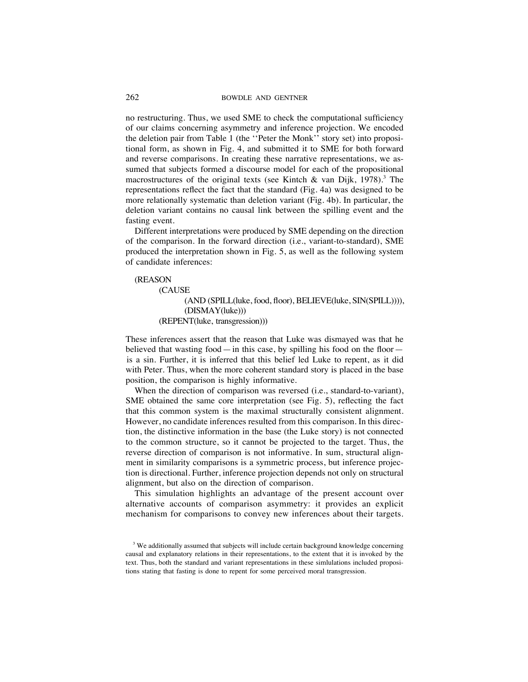no restructuring. Thus, we used SME to check the computational sufficiency of our claims concerning asymmetry and inference projection. We encoded the deletion pair from Table 1 (the ''Peter the Monk'' story set) into propositional form, as shown in Fig. 4, and submitted it to SME for both forward and reverse comparisons. In creating these narrative representations, we assumed that subjects formed a discourse model for each of the propositional macrostructures of the original texts (see Kintch & van Dijk,  $1978$ ).<sup>3</sup> The representations reflect the fact that the standard (Fig. 4a) was designed to be more relationally systematic than deletion variant (Fig. 4b). In particular, the deletion variant contains no causal link between the spilling event and the fasting event.

Different interpretations were produced by SME depending on the direction of the comparison. In the forward direction (i.e., variant-to-standard), SME produced the interpretation shown in Fig. 5, as well as the following system of candidate inferences:

# (REASON

(CAUSE

(AND (SPILL(luke, food, floor), BELIEVE(luke, SIN(SPILL)))), (DISMAY(luke))) (REPENT(luke, transgression)))

These inferences assert that the reason that Luke was dismayed was that he believed that wasting food—in this case, by spilling his food on the floor is a sin. Further, it is inferred that this belief led Luke to repent, as it did with Peter. Thus, when the more coherent standard story is placed in the base position, the comparison is highly informative.

When the direction of comparison was reversed (i.e., standard-to-variant), SME obtained the same core interpretation (see Fig. 5), reflecting the fact that this common system is the maximal structurally consistent alignment. However, no candidate inferences resulted from this comparison. In this direction, the distinctive information in the base (the Luke story) is not connected to the common structure, so it cannot be projected to the target. Thus, the reverse direction of comparison is not informative. In sum, structural alignment in similarity comparisons is a symmetric process, but inference projection is directional. Further, inference projection depends not only on structural alignment, but also on the direction of comparison.

This simulation highlights an advantage of the present account over alternative accounts of comparison asymmetry: it provides an explicit mechanism for comparisons to convey new inferences about their targets.

<sup>&</sup>lt;sup>3</sup> We additionally assumed that subjects will include certain background knowledge concerning causal and explanatory relations in their representations, to the extent that it is invoked by the text. Thus, both the standard and variant representations in these simlulations included propositions stating that fasting is done to repent for some perceived moral transgression.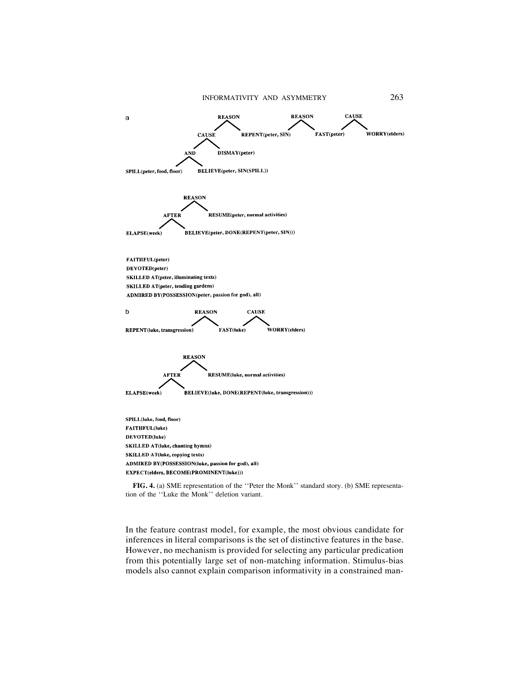

**FIG. 4.** (a) SME representation of the ''Peter the Monk'' standard story. (b) SME representation of the ''Luke the Monk'' deletion variant.

In the feature contrast model, for example, the most obvious candidate for inferences in literal comparisons is the set of distinctive features in the base. However, no mechanism is provided for selecting any particular predication from this potentially large set of non-matching information. Stimulus-bias models also cannot explain comparison informativity in a constrained man-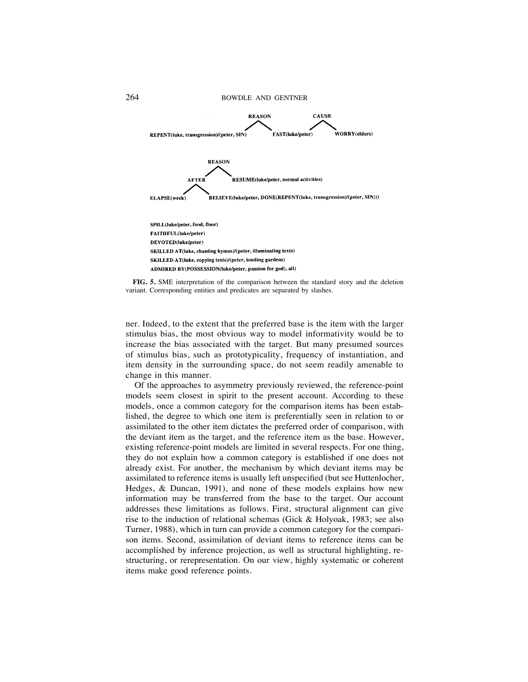

**FIG. 5.** SME interpretation of the comparison between the standard story and the deletion variant. Corresponding entities and predicates are separated by slashes.

ner. Indeed, to the extent that the preferred base is the item with the larger stimulus bias, the most obvious way to model informativity would be to increase the bias associated with the target. But many presumed sources of stimulus bias, such as prototypicality, frequency of instantiation, and item density in the surrounding space, do not seem readily amenable to change in this manner.

Of the approaches to asymmetry previously reviewed, the reference-point models seem closest in spirit to the present account. According to these models, once a common category for the comparison items has been established, the degree to which one item is preferentially seen in relation to or assimilated to the other item dictates the preferred order of comparison, with the deviant item as the target, and the reference item as the base. However, existing reference-point models are limited in several respects. For one thing, they do not explain how a common category is established if one does not already exist. For another, the mechanism by which deviant items may be assimilated to reference items is usually left unspecified (but see Huttenlocher, Hedges, & Duncan, 1991), and none of these models explains how new information may be transferred from the base to the target. Our account addresses these limitations as follows. First, structural alignment can give rise to the induction of relational schemas (Gick & Holyoak, 1983; see also Turner, 1988), which in turn can provide a common category for the comparison items. Second, assimilation of deviant items to reference items can be accomplished by inference projection, as well as structural highlighting, restructuring, or rerepresentation. On our view, highly systematic or coherent items make good reference points.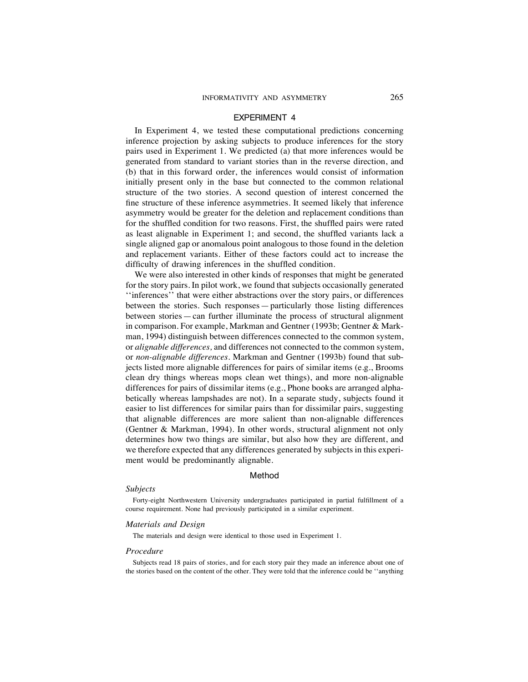## EXPERIMENT 4

In Experiment 4, we tested these computational predictions concerning inference projection by asking subjects to produce inferences for the story pairs used in Experiment 1. We predicted (a) that more inferences would be generated from standard to variant stories than in the reverse direction, and (b) that in this forward order, the inferences would consist of information initially present only in the base but connected to the common relational structure of the two stories. A second question of interest concerned the fine structure of these inference asymmetries. It seemed likely that inference asymmetry would be greater for the deletion and replacement conditions than for the shuffled condition for two reasons. First, the shuffled pairs were rated as least alignable in Experiment 1; and second, the shuffled variants lack a single aligned gap or anomalous point analogous to those found in the deletion and replacement variants. Either of these factors could act to increase the difficulty of drawing inferences in the shuffled condition.

We were also interested in other kinds of responses that might be generated for the story pairs. In pilot work, we found that subjects occasionally generated ''inferences'' that were either abstractions over the story pairs, or differences between the stories. Such responses—particularly those listing differences between stories—can further illuminate the process of structural alignment in comparison. For example, Markman and Gentner (1993b; Gentner & Markman, 1994) distinguish between differences connected to the common system, or *alignable differences,* and differences not connected to the common system, or *non-alignable differences.* Markman and Gentner (1993b) found that subjects listed more alignable differences for pairs of similar items (e.g., Brooms clean dry things whereas mops clean wet things), and more non-alignable differences for pairs of dissimilar items (e.g., Phone books are arranged alphabetically whereas lampshades are not). In a separate study, subjects found it easier to list differences for similar pairs than for dissimilar pairs, suggesting that alignable differences are more salient than non-alignable differences (Gentner & Markman, 1994). In other words, structural alignment not only determines how two things are similar, but also how they are different, and we therefore expected that any differences generated by subjects in this experiment would be predominantly alignable.

## Method

## *Subjects*

Forty-eight Northwestern University undergraduates participated in partial fulfillment of a course requirement. None had previously participated in a similar experiment.

#### *Materials and Design*

The materials and design were identical to those used in Experiment 1.

#### *Procedure*

Subjects read 18 pairs of stories, and for each story pair they made an inference about one of the stories based on the content of the other. They were told that the inference could be ''anything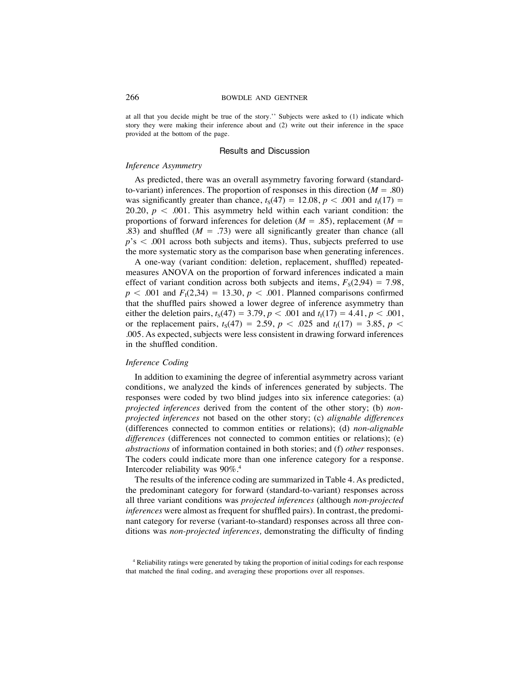at all that you decide might be true of the story.'' Subjects were asked to (1) indicate which story they were making their inference about and (2) write out their inference in the space provided at the bottom of the page.

## Results and Discussion

## *Inference Asymmetry*

As predicted, there was an overall asymmetry favoring forward (standardto-variant) inferences. The proportion of responses in this direction  $(M = .80)$ was significantly greater than chance,  $t_s(47) = 12.08$ ,  $p < .001$  and  $t_i(17) =$ 20.20,  $p < .001$ . This asymmetry held within each variant condition: the proportions of forward inferences for deletion ( $M = .85$ ), replacement ( $M =$ .83) and shuffled  $(M = .73)$  were all significantly greater than chance (all  $p$ 's  $\leq$  .001 across both subjects and items). Thus, subjects preferred to use the more systematic story as the comparison base when generating inferences.

A one-way (variant condition: deletion, replacement, shuffled) repeatedmeasures ANOVA on the proportion of forward inferences indicated a main effect of variant condition across both subjects and items,  $F_S(2,94) = 7.98$ ,  $p < .001$  and  $F_1(2,34) = 13.30, p < .001$ . Planned comparisons confirmed that the shuffled pairs showed a lower degree of inference asymmetry than either the deletion pairs,  $t_s(47) = 3.79$ ,  $p < .001$  and  $t_l(17) = 4.41$ ,  $p < .001$ , or the replacement pairs,  $t_S(47) = 2.59$ ,  $p < .025$  and  $t_I(17) = 3.85$ ,  $p <$ .005. As expected, subjects were less consistent in drawing forward inferences in the shuffled condition.

## *Inference Coding*

In addition to examining the degree of inferential asymmetry across variant conditions, we analyzed the kinds of inferences generated by subjects. The responses were coded by two blind judges into six inference categories: (a) *projected inferences* derived from the content of the other story; (b) *nonprojected inferences* not based on the other story; (c) *alignable differences* (differences connected to common entities or relations); (d) *non-alignable differences* (differences not connected to common entities or relations); (e) *abstractions* of information contained in both stories; and (f) *other* responses. The coders could indicate more than one inference category for a response. Intercoder reliability was 90%.<sup>4</sup>

The results of the inference coding are summarized in Table 4. As predicted, the predominant category for forward (standard-to-variant) responses across all three variant conditions was *projected inferences* (although *non-projected inferences* were almost as frequent for shuffled pairs). In contrast, the predominant category for reverse (variant-to-standard) responses across all three conditions was *non-projected inferences,* demonstrating the difficulty of finding

<sup>&</sup>lt;sup>4</sup> Reliability ratings were generated by taking the proportion of initial codings for each response that matched the final coding, and averaging these proportions over all responses.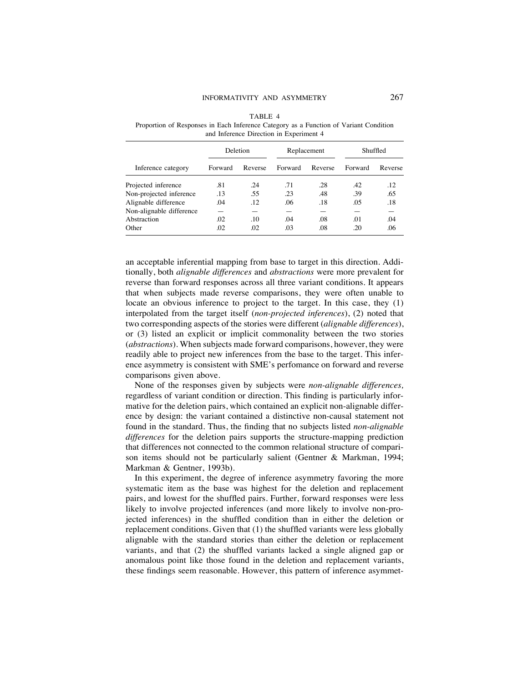| Inference category       | Deletion |         | Replacement |         | Shuffled |         |
|--------------------------|----------|---------|-------------|---------|----------|---------|
|                          | Forward  | Reverse | Forward     | Reverse | Forward  | Reverse |
| Projected inference      | .81      | .24     | .71         | .28     | .42      | .12     |
| Non-projected inference  | .13      | .55     | .23         | .48     | .39      | .65     |
| Alignable difference     | .04      | .12     | .06         | .18     | .05      | .18     |
| Non-alignable difference |          |         |             |         |          |         |
| Abstraction              | .02      | .10     | .04         | .08     | .01      | .04     |
| Other                    | .02      | .02     | .03         | .08     | .20      | .06     |
|                          |          |         |             |         |          |         |

TABLE 4 Proportion of Responses in Each Inference Category as a Function of Variant Condition and Inference Direction in Experiment 4

an acceptable inferential mapping from base to target in this direction. Additionally, both *alignable differences* and *abstractions* were more prevalent for reverse than forward responses across all three variant conditions. It appears that when subjects made reverse comparisons, they were often unable to locate an obvious inference to project to the target. In this case, they (1) interpolated from the target itself (*non-projected inferences*), (2) noted that two corresponding aspects of the stories were different (*alignable differences*), or (3) listed an explicit or implicit commonality between the two stories (*abstractions*). When subjects made forward comparisons, however, they were readily able to project new inferences from the base to the target. This inference asymmetry is consistent with SME's perfomance on forward and reverse comparisons given above.

None of the responses given by subjects were *non-alignable differences,* regardless of variant condition or direction. This finding is particularly informative for the deletion pairs, which contained an explicit non-alignable difference by design: the variant contained a distinctive non-causal statement not found in the standard. Thus, the finding that no subjects listed *non-alignable differences* for the deletion pairs supports the structure-mapping prediction that differences not connected to the common relational structure of comparison items should not be particularly salient (Gentner & Markman, 1994; Markman & Gentner, 1993b).

In this experiment, the degree of inference asymmetry favoring the more systematic item as the base was highest for the deletion and replacement pairs, and lowest for the shuffled pairs. Further, forward responses were less likely to involve projected inferences (and more likely to involve non-projected inferences) in the shuffled condition than in either the deletion or replacement conditions. Given that (1) the shuffled variants were less globally alignable with the standard stories than either the deletion or replacement variants, and that (2) the shuffled variants lacked a single aligned gap or anomalous point like those found in the deletion and replacement variants, these findings seem reasonable. However, this pattern of inference asymmet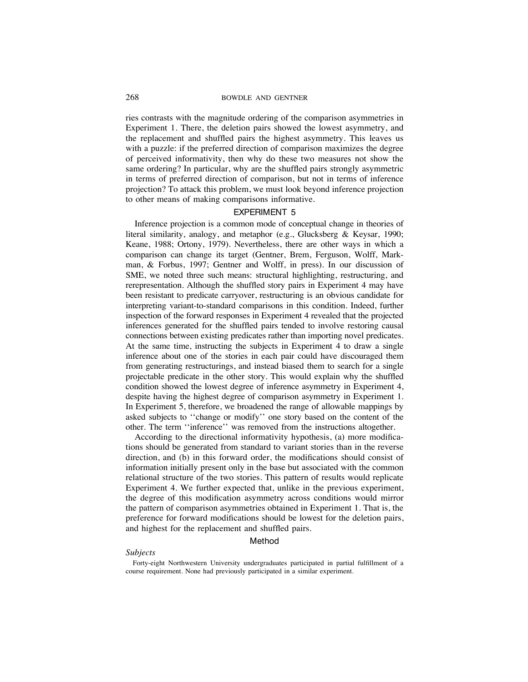ries contrasts with the magnitude ordering of the comparison asymmetries in Experiment 1. There, the deletion pairs showed the lowest asymmetry, and the replacement and shuffled pairs the highest asymmetry. This leaves us with a puzzle: if the preferred direction of comparison maximizes the degree of perceived informativity, then why do these two measures not show the same ordering? In particular, why are the shuffled pairs strongly asymmetric in terms of preferred direction of comparison, but not in terms of inference projection? To attack this problem, we must look beyond inference projection to other means of making comparisons informative.

## EXPERIMENT 5

Inference projection is a common mode of conceptual change in theories of literal similarity, analogy, and metaphor (e.g., Glucksberg & Keysar, 1990; Keane, 1988; Ortony, 1979). Nevertheless, there are other ways in which a comparison can change its target (Gentner, Brem, Ferguson, Wolff, Markman, & Forbus, 1997; Gentner and Wolff, in press). In our discussion of SME, we noted three such means: structural highlighting, restructuring, and rerepresentation. Although the shuffled story pairs in Experiment 4 may have been resistant to predicate carryover, restructuring is an obvious candidate for interpreting variant-to-standard comparisons in this condition. Indeed, further inspection of the forward responses in Experiment 4 revealed that the projected inferences generated for the shuffled pairs tended to involve restoring causal connections between existing predicates rather than importing novel predicates. At the same time, instructing the subjects in Experiment 4 to draw a single inference about one of the stories in each pair could have discouraged them from generating restructurings, and instead biased them to search for a single projectable predicate in the other story. This would explain why the shuffled condition showed the lowest degree of inference asymmetry in Experiment 4, despite having the highest degree of comparison asymmetry in Experiment 1. In Experiment 5, therefore, we broadened the range of allowable mappings by asked subjects to ''change or modify'' one story based on the content of the other. The term ''inference'' was removed from the instructions altogether.

According to the directional informativity hypothesis, (a) more modifications should be generated from standard to variant stories than in the reverse direction, and (b) in this forward order, the modifications should consist of information initially present only in the base but associated with the common relational structure of the two stories. This pattern of results would replicate Experiment 4. We further expected that, unlike in the previous experiment, the degree of this modification asymmetry across conditions would mirror the pattern of comparison asymmetries obtained in Experiment 1. That is, the preference for forward modifications should be lowest for the deletion pairs, and highest for the replacement and shuffled pairs.

## Method

#### *Subjects*

Forty-eight Northwestern University undergraduates participated in partial fulfillment of a course requirement. None had previously participated in a similar experiment.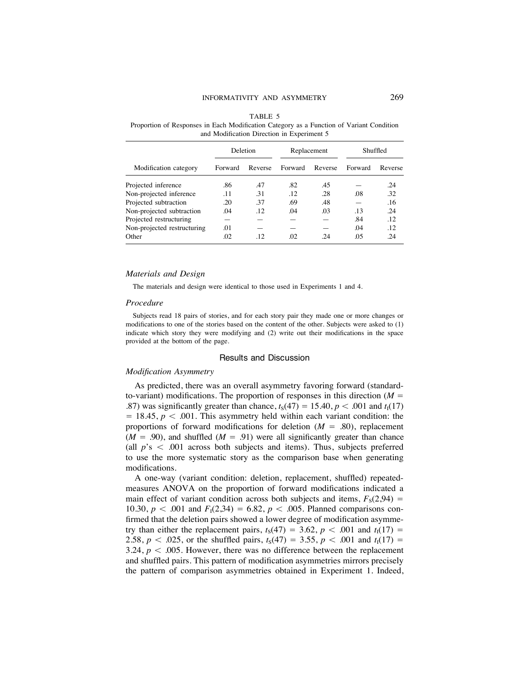|                             | Deletion |         | Replacement |         | Shuffled |         |
|-----------------------------|----------|---------|-------------|---------|----------|---------|
| Modification category       | Forward  | Reverse | Forward     | Reverse | Forward  | Reverse |
| Projected inference         | .86      | .47     | .82         | .45     |          | .24     |
| Non-projected inference     | .11      | .31     | .12         | .28     | .08      | .32     |
| Projected subtraction       | .20      | .37     | .69         | .48     |          | .16     |
| Non-projected subtraction   | .04      | .12     | .04         | .03     | .13      | .24     |
| Projected restructuring     |          |         |             |         | .84      | .12     |
| Non-projected restructuring | .01      |         |             |         | .04      | .12     |
| Other                       | .02      | .12     | .02         | .24     | .05      | .24     |
|                             |          |         |             |         |          |         |

TABLE 5 Proportion of Responses in Each Modification Category as a Function of Variant Condition and Modification Direction in Experiment 5

## *Materials and Design*

The materials and design were identical to those used in Experiments 1 and 4.

#### *Procedure*

Subjects read 18 pairs of stories, and for each story pair they made one or more changes or modifications to one of the stories based on the content of the other. Subjects were asked to (1) indicate which story they were modifying and (2) write out their modifications in the space provided at the bottom of the page.

### Results and Discussion

#### *Modification Asymmetry*

As predicted, there was an overall asymmetry favoring forward (standardto-variant) modifications. The proportion of responses in this direction  $(M =$ .87) was significantly greater than chance,  $t_s(47) = 15.40$ ,  $p < .001$  and  $t_i(17)$  $= 18.45$ ,  $p < .001$ . This asymmetry held within each variant condition: the proportions of forward modifications for deletion  $(M = .80)$ , replacement  $(M = .90)$ , and shuffled  $(M = .91)$  were all significantly greater than chance (all  $p$ 's  $\leq$  .001 across both subjects and items). Thus, subjects preferred to use the more systematic story as the comparison base when generating modifications.

A one-way (variant condition: deletion, replacement, shuffled) repeatedmeasures ANOVA on the proportion of forward modifications indicated a main effect of variant condition across both subjects and items,  $F<sub>s</sub>(2,94)$  = 10.30,  $p < .001$  and  $F_1(2,34) = 6.82$ ,  $p < .005$ . Planned comparisons confirmed that the deletion pairs showed a lower degree of modification asymmetry than either the replacement pairs,  $t_s(47) = 3.62$ ,  $p < .001$  and  $t_l(17) =$ 2.58,  $p < .025$ , or the shuffled pairs,  $t_s(47) = 3.55$ ,  $p < .001$  and  $t_l(17) =$ 3.24,  $p < .005$ . However, there was no difference between the replacement and shuffled pairs. This pattern of modification asymmetries mirrors precisely the pattern of comparison asymmetries obtained in Experiment 1. Indeed,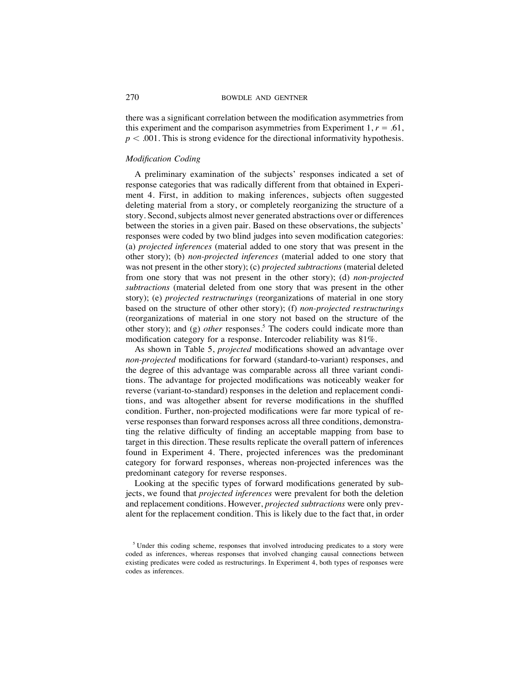there was a significant correlation between the modification asymmetries from this experiment and the comparison asymmetries from Experiment  $1, r = .61$ ,  $p < .001$ . This is strong evidence for the directional informativity hypothesis.

# *Modification Coding*

A preliminary examination of the subjects' responses indicated a set of response categories that was radically different from that obtained in Experiment 4. First, in addition to making inferences, subjects often suggested deleting material from a story, or completely reorganizing the structure of a story. Second, subjects almost never generated abstractions over or differences between the stories in a given pair. Based on these observations, the subjects' responses were coded by two blind judges into seven modification categories: (a) *projected inferences* (material added to one story that was present in the other story); (b) *non-projected inferences* (material added to one story that was not present in the other story); (c) *projected subtractions* (material deleted from one story that was not present in the other story); (d) *non-projected subtractions* (material deleted from one story that was present in the other story); (e) *projected restructurings* (reorganizations of material in one story based on the structure of other other story); (f) *non-projected restructurings* (reorganizations of material in one story not based on the structure of the other story); and (g) *other* responses.<sup>5</sup> The coders could indicate more than modification category for a response. Intercoder reliability was 81%.

As shown in Table 5, *projected* modifications showed an advantage over *non-projected* modifications for forward (standard-to-variant) responses, and the degree of this advantage was comparable across all three variant conditions. The advantage for projected modifications was noticeably weaker for reverse (variant-to-standard) responses in the deletion and replacement conditions, and was altogether absent for reverse modifications in the shuffled condition. Further, non-projected modifications were far more typical of reverse responses than forward responses across all three conditions, demonstrating the relative difficulty of finding an acceptable mapping from base to target in this direction. These results replicate the overall pattern of inferences found in Experiment 4. There, projected inferences was the predominant category for forward responses, whereas non-projected inferences was the predominant category for reverse responses.

Looking at the specific types of forward modifications generated by subjects, we found that *projected inferences* were prevalent for both the deletion and replacement conditions. However, *projected subtractions* were only prevalent for the replacement condition. This is likely due to the fact that, in order

<sup>&</sup>lt;sup>5</sup> Under this coding scheme, responses that involved introducing predicates to a story were coded as inferences, whereas responses that involved changing causal connections between existing predicates were coded as restructurings. In Experiment 4, both types of responses were codes as inferences.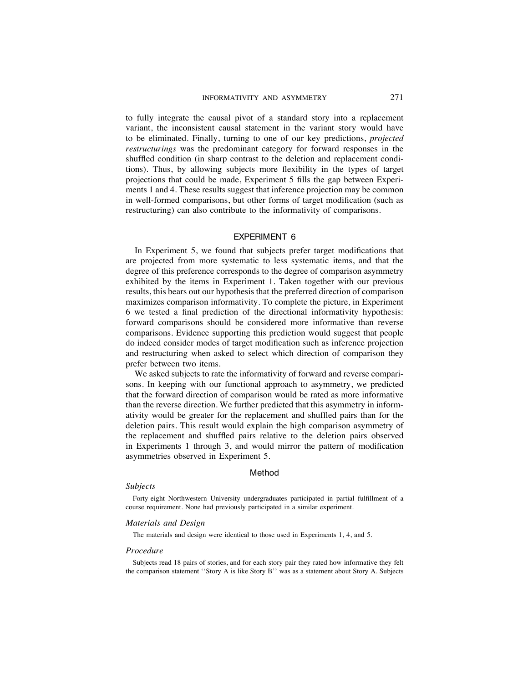to fully integrate the causal pivot of a standard story into a replacement variant, the inconsistent causal statement in the variant story would have to be eliminated. Finally, turning to one of our key predictions, *projected restructurings* was the predominant category for forward responses in the shuffled condition (in sharp contrast to the deletion and replacement conditions). Thus, by allowing subjects more flexibility in the types of target projections that could be made, Experiment 5 fills the gap between Experiments 1 and 4. These results suggest that inference projection may be common in well-formed comparisons, but other forms of target modification (such as restructuring) can also contribute to the informativity of comparisons.

# EXPERIMENT 6

In Experiment 5, we found that subjects prefer target modifications that are projected from more systematic to less systematic items, and that the degree of this preference corresponds to the degree of comparison asymmetry exhibited by the items in Experiment 1. Taken together with our previous results, this bears out our hypothesis that the preferred direction of comparison maximizes comparison informativity. To complete the picture, in Experiment 6 we tested a final prediction of the directional informativity hypothesis: forward comparisons should be considered more informative than reverse comparisons. Evidence supporting this prediction would suggest that people do indeed consider modes of target modification such as inference projection and restructuring when asked to select which direction of comparison they prefer between two items.

We asked subjects to rate the informativity of forward and reverse comparisons. In keeping with our functional approach to asymmetry, we predicted that the forward direction of comparison would be rated as more informative than the reverse direction. We further predicted that this asymmetry in informativity would be greater for the replacement and shuffled pairs than for the deletion pairs. This result would explain the high comparison asymmetry of the replacement and shuffled pairs relative to the deletion pairs observed in Experiments 1 through 3, and would mirror the pattern of modification asymmetries observed in Experiment 5.

#### Method

### *Subjects*

Forty-eight Northwestern University undergraduates participated in partial fulfillment of a course requirement. None had previously participated in a similar experiment.

## *Materials and Design*

The materials and design were identical to those used in Experiments 1, 4, and 5.

## *Procedure*

Subjects read 18 pairs of stories, and for each story pair they rated how informative they felt the comparison statement ''Story A is like Story B'' was as a statement about Story A. Subjects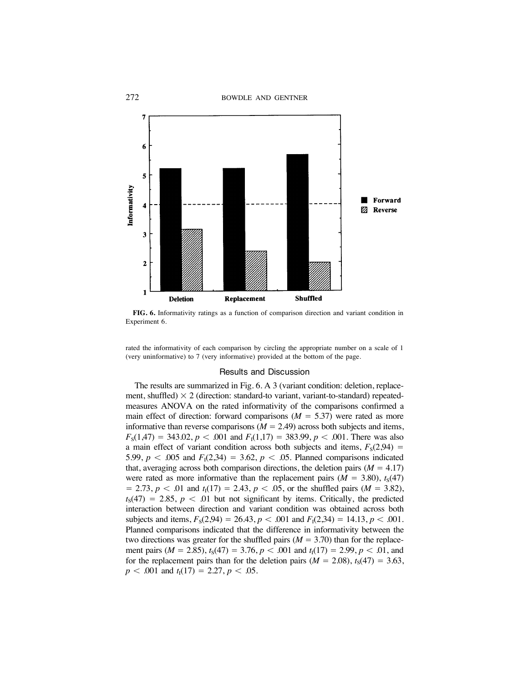

**FIG. 6.** Informativity ratings as a function of comparison direction and variant condition in Experiment 6.

Replacement

Shuffled

 $\mathbf{1}$ 

**Deletion** 

rated the informativity of each comparison by circling the appropriate number on a scale of 1 (very uninformative) to 7 (very informative) provided at the bottom of the page.

## Results and Discussion

The results are summarized in Fig. 6. A 3 (variant condition: deletion, replacement, shuffled)  $\times$  2 (direction: standard-to variant, variant-to-standard) repeatedmeasures ANOVA on the rated informativity of the comparisons confirmed a main effect of direction: forward comparisons  $(M = 5.37)$  were rated as more informative than reverse comparisons  $(M = 2.49)$  across both subjects and items,  $F_S(1,47) = 343.02, p < .001$  and  $F_I(1,17) = 383.99, p < .001$ . There was also a main effect of variant condition across both subjects and items,  $F_s(2,94)$  = 5.99,  $p < .005$  and  $F_1(2,34) = 3.62$ ,  $p < .05$ . Planned comparisons indicated that, averaging across both comparison directions, the deletion pairs  $(M = 4.17)$ were rated as more informative than the replacement pairs  $(M = 3.80)$ ,  $t_s(47)$  $= 2.73, p < .01$  and  $t_1(17) = 2.43, p < .05$ , or the shuffled pairs (*M* = 3.82),  $t<sub>S</sub>(47) = 2.85$ ,  $p < .01$  but not significant by items. Critically, the predicted interaction between direction and variant condition was obtained across both subjects and items,  $F_S(2,94) = 26.43$ ,  $p < .001$  and  $F_I(2,34) = 14.13$ ,  $p < .001$ . Planned comparisons indicated that the difference in informativity between the two directions was greater for the shuffled pairs  $(M = 3.70)$  than for the replacement pairs ( $M = 2.85$ ),  $t_s(47) = 3.76$ ,  $p < .001$  and  $t_l(17) = 2.99$ ,  $p < .01$ , and for the replacement pairs than for the deletion pairs  $(M = 2.08)$ ,  $t_s(47) = 3.63$ ,  $p < .001$  and  $t_1(17) = 2.27, p < .05$ .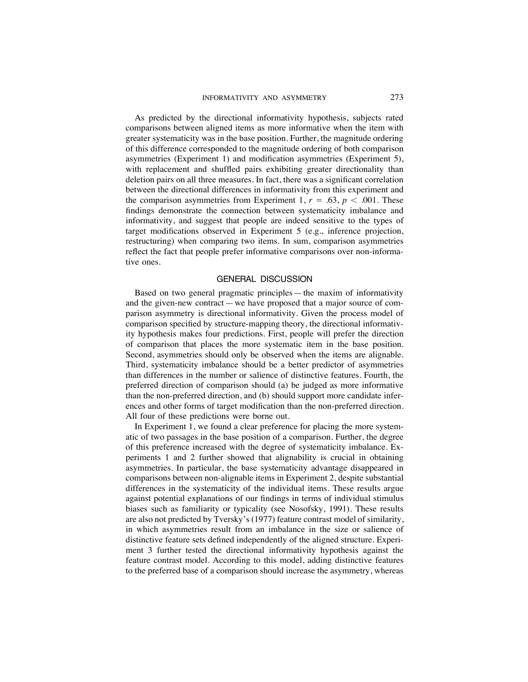As predicted by the directional informativity hypothesis, subjects rated comparisons between aligned items as more informative when the item with greater systematicity was in the base position. Further, the magnitude ordering of this difference corresponded to the magnitude ordering of both comparison asymmetries (Experiment 1) and modification asymmetries (Experiment 5), with replacement and shuffled pairs exhibiting greater directionality than deletion pairs on all three measures. In fact, there was a significant correlation between the directional differences in informativity from this experiment and the comparison asymmetries from Experiment 1,  $r = .63$ ,  $p < .001$ . These findings demonstrate the connection between systematicity imbalance and informativity, and suggest that people are indeed sensitive to the types of target modifications observed in Experiment 5 (e.g., inference projection, restructuring) when comparing two items. In sum, comparison asymmetries reflect the fact that people prefer informative comparisons over non-informative ones.

## GENERAL DISCUSSION

Based on two general pragmatic principles—the maxim of informativity and the given-new contract—we have proposed that a major source of comparison asymmetry is directional informativity. Given the process model of comparison specified by structure-mapping theory, the directional informativity hypothesis makes four predictions. First, people will prefer the direction of comparison that places the more systematic item in the base position. Second, asymmetries should only be observed when the items are alignable. Third, systematicity imbalance should be a better predictor of asymmetries than differences in the number or salience of distinctive features. Fourth, the preferred direction of comparison should (a) be judged as more informative than the non-preferred direction, and (b) should support more candidate inferences and other forms of target modification than the non-preferred direction. All four of these predictions were borne out.

In Experiment 1, we found a clear preference for placing the more systematic of two passages in the base position of a comparison. Further, the degree of this preference increased with the degree of systematicity imbalance. Experiments 1 and 2 further showed that alignability is crucial in obtaining asymmetries. In particular, the base systematicity advantage disappeared in comparisons between non-alignable items in Experiment 2, despite substantial differences in the systematicity of the individual items. These results argue against potential explanations of our findings in terms of individual stimulus biases such as familiarity or typicality (see Nosofsky, 1991). These results are also not predicted by Tversky's (1977) feature contrast model of similarity, in which asymmetries result from an imbalance in the size or salience of distinctive feature sets defined independently of the aligned structure. Experiment 3 further tested the directional informativity hypothesis against the feature contrast model. According to this model, adding distinctive features to the preferred base of a comparison should increase the asymmetry, whereas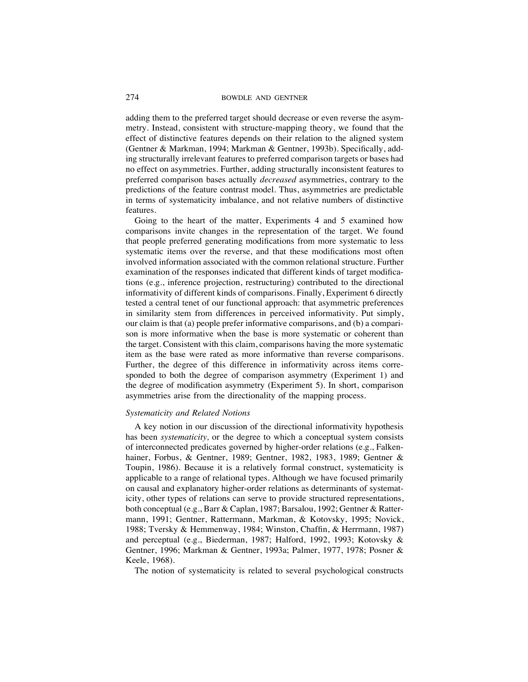adding them to the preferred target should decrease or even reverse the asymmetry. Instead, consistent with structure-mapping theory, we found that the effect of distinctive features depends on their relation to the aligned system (Gentner & Markman, 1994; Markman & Gentner, 1993b). Specifically, adding structurally irrelevant features to preferred comparison targets or bases had no effect on asymmetries. Further, adding structurally inconsistent features to preferred comparison bases actually *decreased* asymmetries, contrary to the predictions of the feature contrast model. Thus, asymmetries are predictable in terms of systematicity imbalance, and not relative numbers of distinctive features.

Going to the heart of the matter, Experiments 4 and 5 examined how comparisons invite changes in the representation of the target. We found that people preferred generating modifications from more systematic to less systematic items over the reverse, and that these modifications most often involved information associated with the common relational structure. Further examination of the responses indicated that different kinds of target modifications (e.g., inference projection, restructuring) contributed to the directional informativity of different kinds of comparisons. Finally, Experiment 6 directly tested a central tenet of our functional approach: that asymmetric preferences in similarity stem from differences in perceived informativity. Put simply, our claim is that (a) people prefer informative comparisons, and (b) a comparison is more informative when the base is more systematic or coherent than the target. Consistent with this claim, comparisons having the more systematic item as the base were rated as more informative than reverse comparisons. Further, the degree of this difference in informativity across items corresponded to both the degree of comparison asymmetry (Experiment 1) and the degree of modification asymmetry (Experiment 5). In short, comparison asymmetries arise from the directionality of the mapping process.

## *Systematicity and Related Notions*

A key notion in our discussion of the directional informativity hypothesis has been *systematicity,* or the degree to which a conceptual system consists of interconnected predicates governed by higher-order relations (e.g., Falkenhainer, Forbus, & Gentner, 1989; Gentner, 1982, 1983, 1989; Gentner & Toupin, 1986). Because it is a relatively formal construct, systematicity is applicable to a range of relational types. Although we have focused primarily on causal and explanatory higher-order relations as determinants of systematicity, other types of relations can serve to provide structured representations, both conceptual (e.g., Barr & Caplan, 1987; Barsalou, 1992; Gentner & Rattermann, 1991; Gentner, Rattermann, Markman, & Kotovsky, 1995; Novick, 1988; Tversky & Hemmenway, 1984; Winston, Chaffin, & Herrmann, 1987) and perceptual (e.g., Biederman, 1987; Halford, 1992, 1993; Kotovsky & Gentner, 1996; Markman & Gentner, 1993a; Palmer, 1977, 1978; Posner & Keele, 1968).

The notion of systematicity is related to several psychological constructs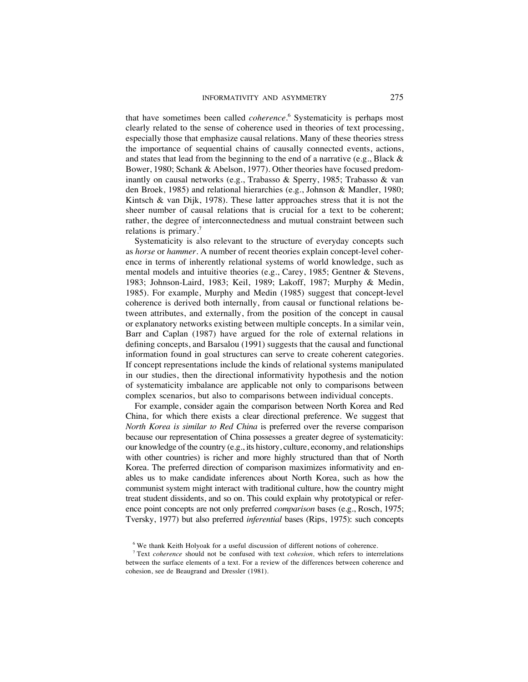that have sometimes been called *coherence.*<sup>6</sup> Systematicity is perhaps most clearly related to the sense of coherence used in theories of text processing, especially those that emphasize causal relations. Many of these theories stress the importance of sequential chains of causally connected events, actions, and states that lead from the beginning to the end of a narrative (e.g., Black  $\&$ Bower, 1980; Schank & Abelson, 1977). Other theories have focused predominantly on causal networks (e.g., Trabasso & Sperry, 1985; Trabasso & van den Broek, 1985) and relational hierarchies (e.g., Johnson & Mandler, 1980; Kintsch & van Dijk, 1978). These latter approaches stress that it is not the sheer number of causal relations that is crucial for a text to be coherent; rather, the degree of interconnectedness and mutual constraint between such relations is primary.<sup>7</sup>

Systematicity is also relevant to the structure of everyday concepts such as *horse* or *hammer.* A number of recent theories explain concept-level coherence in terms of inherently relational systems of world knowledge, such as mental models and intuitive theories (e.g., Carey, 1985; Gentner & Stevens, 1983; Johnson-Laird, 1983; Keil, 1989; Lakoff, 1987; Murphy & Medin, 1985). For example, Murphy and Medin (1985) suggest that concept-level coherence is derived both internally, from causal or functional relations between attributes, and externally, from the position of the concept in causal or explanatory networks existing between multiple concepts. In a similar vein, Barr and Caplan (1987) have argued for the role of external relations in defining concepts, and Barsalou (1991) suggests that the causal and functional information found in goal structures can serve to create coherent categories. If concept representations include the kinds of relational systems manipulated in our studies, then the directional informativity hypothesis and the notion of systematicity imbalance are applicable not only to comparisons between complex scenarios, but also to comparisons between individual concepts.

For example, consider again the comparison between North Korea and Red China, for which there exists a clear directional preference. We suggest that *North Korea is similar to Red China* is preferred over the reverse comparison because our representation of China possesses a greater degree of systematicity: our knowledge of the country (e.g., its history, culture, economy, and relationships with other countries) is richer and more highly structured than that of North Korea. The preferred direction of comparison maximizes informativity and enables us to make candidate inferences about North Korea, such as how the communist system might interact with traditional culture, how the country might treat student dissidents, and so on. This could explain why prototypical or reference point concepts are not only preferred *comparison* bases (e.g., Rosch, 1975; Tversky, 1977) but also preferred *inferential* bases (Rips, 1975): such concepts

<sup>&</sup>lt;sup>6</sup> We thank Keith Holyoak for a useful discussion of different notions of coherence.

<sup>7</sup> Text *coherence* should not be confused with text *cohesion,* which refers to interrelations between the surface elements of a text. For a review of the differences between coherence and cohesion, see de Beaugrand and Dressler (1981).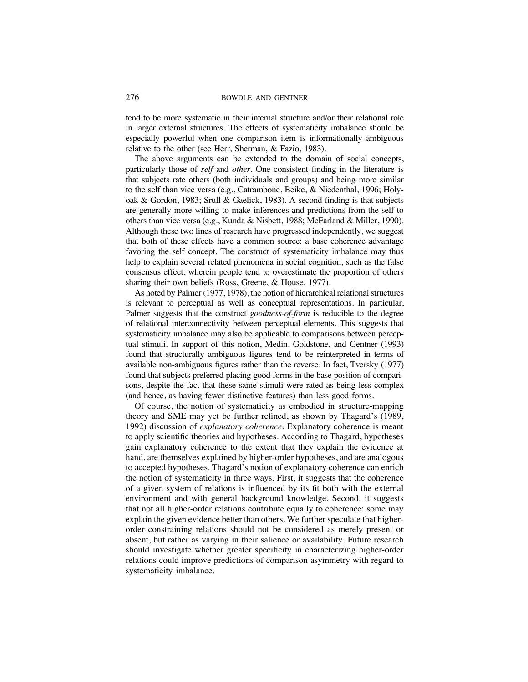tend to be more systematic in their internal structure and/or their relational role in larger external structures. The effects of systematicity imbalance should be especially powerful when one comparison item is informationally ambiguous relative to the other (see Herr, Sherman, & Fazio, 1983).

The above arguments can be extended to the domain of social concepts, particularly those of *self* and *other.* One consistent finding in the literature is that subjects rate others (both individuals and groups) and being more similar to the self than vice versa (e.g., Catrambone, Beike, & Niedenthal, 1996; Holyoak & Gordon, 1983; Srull & Gaelick, 1983). A second finding is that subjects are generally more willing to make inferences and predictions from the self to others than vice versa (e.g., Kunda & Nisbett, 1988; McFarland & Miller, 1990). Although these two lines of research have progressed independently, we suggest that both of these effects have a common source: a base coherence advantage favoring the self concept. The construct of systematicity imbalance may thus help to explain several related phenomena in social cognition, such as the false consensus effect, wherein people tend to overestimate the proportion of others sharing their own beliefs (Ross, Greene, & House, 1977).

As noted by Palmer (1977, 1978), the notion of hierarchical relational structures is relevant to perceptual as well as conceptual representations. In particular, Palmer suggests that the construct *goodness-of-form* is reducible to the degree of relational interconnectivity between perceptual elements. This suggests that systematicity imbalance may also be applicable to comparisons between perceptual stimuli. In support of this notion, Medin, Goldstone, and Gentner (1993) found that structurally ambiguous figures tend to be reinterpreted in terms of available non-ambiguous figures rather than the reverse. In fact, Tversky (1977) found that subjects preferred placing good forms in the base position of comparisons, despite the fact that these same stimuli were rated as being less complex (and hence, as having fewer distinctive features) than less good forms.

Of course, the notion of systematicity as embodied in structure-mapping theory and SME may yet be further refined, as shown by Thagard's (1989, 1992) discussion of *explanatory coherence.* Explanatory coherence is meant to apply scientific theories and hypotheses. According to Thagard, hypotheses gain explanatory coherence to the extent that they explain the evidence at hand, are themselves explained by higher-order hypotheses, and are analogous to accepted hypotheses. Thagard's notion of explanatory coherence can enrich the notion of systematicity in three ways. First, it suggests that the coherence of a given system of relations is influenced by its fit both with the external environment and with general background knowledge. Second, it suggests that not all higher-order relations contribute equally to coherence: some may explain the given evidence better than others. We further speculate that higherorder constraining relations should not be considered as merely present or absent, but rather as varying in their salience or availability. Future research should investigate whether greater specificity in characterizing higher-order relations could improve predictions of comparison asymmetry with regard to systematicity imbalance.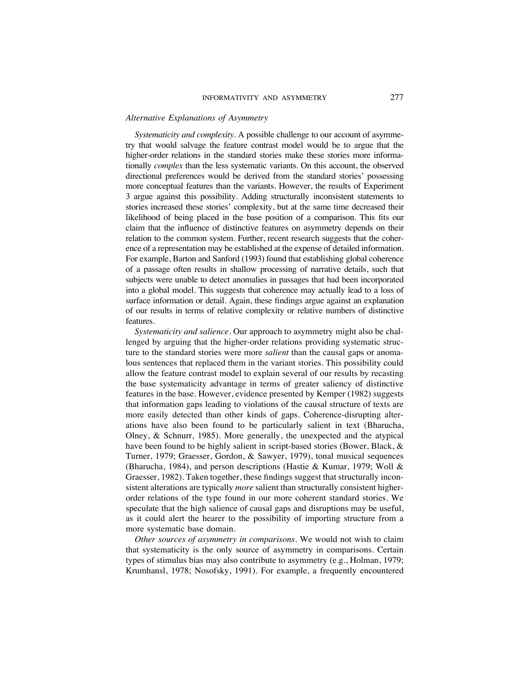## *Alternative Explanations of Asymmetry*

*Systematicity and complexity.* A possible challenge to our account of asymmetry that would salvage the feature contrast model would be to argue that the higher-order relations in the standard stories make these stories more informationally *complex* than the less systematic variants. On this account, the observed directional preferences would be derived from the standard stories' possessing more conceptual features than the variants. However, the results of Experiment 3 argue against this possibility. Adding structurally inconsistent statements to stories increased these stories' complexity, but at the same time decreased their likelihood of being placed in the base position of a comparison. This fits our claim that the influence of distinctive features on asymmetry depends on their relation to the common system. Further, recent research suggests that the coherence of a representation may be established at the expense of detailed information. For example, Barton and Sanford (1993) found that establishing global coherence of a passage often results in shallow processing of narrative details, such that subjects were unable to detect anomalies in passages that had been incorporated into a global model. This suggests that coherence may actually lead to a loss of surface information or detail. Again, these findings argue against an explanation of our results in terms of relative complexity or relative numbers of distinctive features.

*Systematicity and salience.* Our approach to asymmetry might also be challenged by arguing that the higher-order relations providing systematic structure to the standard stories were more *salient* than the causal gaps or anomalous sentences that replaced them in the variant stories. This possibility could allow the feature contrast model to explain several of our results by recasting the base systematicity advantage in terms of greater saliency of distinctive features in the base. However, evidence presented by Kemper (1982) suggests that information gaps leading to violations of the causal structure of texts are more easily detected than other kinds of gaps. Coherence-disrupting alterations have also been found to be particularly salient in text (Bharucha, Olney, & Schnurr, 1985). More generally, the unexpected and the atypical have been found to be highly salient in script-based stories (Bower, Black, & Turner, 1979; Graesser, Gordon, & Sawyer, 1979), tonal musical sequences (Bharucha, 1984), and person descriptions (Hastie & Kumar, 1979; Woll & Graesser, 1982). Taken together, these findings suggest that structurally inconsistent alterations are typically *more* salient than structurally consistent higherorder relations of the type found in our more coherent standard stories. We speculate that the high salience of causal gaps and disruptions may be useful, as it could alert the hearer to the possibility of importing structure from a more systematic base domain.

*Other sources of asymmetry in comparisons.* We would not wish to claim that systematicity is the only source of asymmetry in comparisons. Certain types of stimulus bias may also contribute to asymmetry (e.g., Holman, 1979; Krumhansl, 1978; Nosofsky, 1991). For example, a frequently encountered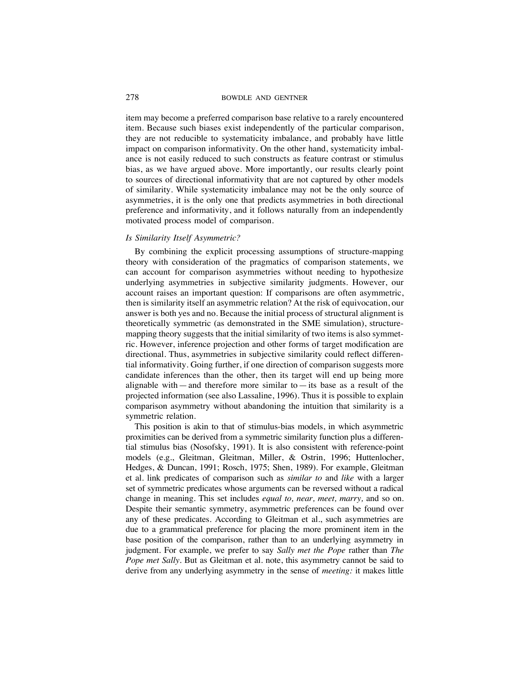item may become a preferred comparison base relative to a rarely encountered item. Because such biases exist independently of the particular comparison, they are not reducible to systematicity imbalance, and probably have little impact on comparison informativity. On the other hand, systematicity imbalance is not easily reduced to such constructs as feature contrast or stimulus bias, as we have argued above. More importantly, our results clearly point to sources of directional informativity that are not captured by other models of similarity. While systematicity imbalance may not be the only source of asymmetries, it is the only one that predicts asymmetries in both directional preference and informativity, and it follows naturally from an independently motivated process model of comparison.

# *Is Similarity Itself Asymmetric?*

By combining the explicit processing assumptions of structure-mapping theory with consideration of the pragmatics of comparison statements, we can account for comparison asymmetries without needing to hypothesize underlying asymmetries in subjective similarity judgments. However, our account raises an important question: If comparisons are often asymmetric, then is similarity itself an asymmetric relation? At the risk of equivocation, our answer is both yes and no. Because the initial process of structural alignment is theoretically symmetric (as demonstrated in the SME simulation), structuremapping theory suggests that the initial similarity of two items is also symmetric. However, inference projection and other forms of target modification are directional. Thus, asymmetries in subjective similarity could reflect differential informativity. Going further, if one direction of comparison suggests more candidate inferences than the other, then its target will end up being more alignable with—and therefore more similar to—its base as a result of the projected information (see also Lassaline, 1996). Thus it is possible to explain comparison asymmetry without abandoning the intuition that similarity is a symmetric relation.

This position is akin to that of stimulus-bias models, in which asymmetric proximities can be derived from a symmetric similarity function plus a differential stimulus bias (Nosofsky, 1991). It is also consistent with reference-point models (e.g., Gleitman, Gleitman, Miller, & Ostrin, 1996; Huttenlocher, Hedges, & Duncan, 1991; Rosch, 1975; Shen, 1989). For example, Gleitman et al. link predicates of comparison such as *similar to* and *like* with a larger set of symmetric predicates whose arguments can be reversed without a radical change in meaning. This set includes *equal to, near, meet, marry,* and so on. Despite their semantic symmetry, asymmetric preferences can be found over any of these predicates. According to Gleitman et al., such asymmetries are due to a grammatical preference for placing the more prominent item in the base position of the comparison, rather than to an underlying asymmetry in judgment. For example, we prefer to say *Sally met the Pope* rather than *The Pope met Sally.* But as Gleitman et al. note, this asymmetry cannot be said to derive from any underlying asymmetry in the sense of *meeting:* it makes little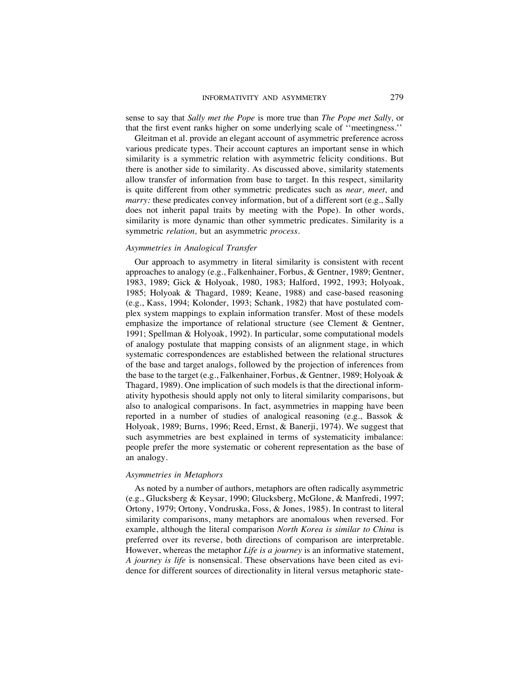sense to say that *Sally met the Pope* is more true than *The Pope met Sally,* or that the first event ranks higher on some underlying scale of ''meetingness.''

Gleitman et al. provide an elegant account of asymmetric preference across various predicate types. Their account captures an important sense in which similarity is a symmetric relation with asymmetric felicity conditions. But there is another side to similarity. As discussed above, similarity statements allow transfer of information from base to target. In this respect, similarity is quite different from other symmetric predicates such as *near, meet,* and *marry*: these predicates convey information, but of a different sort (e.g., Sally does not inherit papal traits by meeting with the Pope). In other words, similarity is more dynamic than other symmetric predicates. Similarity is a symmetric *relation,* but an asymmetric *process.*

## *Asymmetries in Analogical Transfer*

Our approach to asymmetry in literal similarity is consistent with recent approaches to analogy (e.g., Falkenhainer, Forbus, & Gentner, 1989; Gentner, 1983, 1989; Gick & Holyoak, 1980, 1983; Halford, 1992, 1993; Holyoak, 1985; Holyoak & Thagard, 1989; Keane, 1988) and case-based reasoning (e.g., Kass, 1994; Kolonder, 1993; Schank, 1982) that have postulated complex system mappings to explain information transfer. Most of these models emphasize the importance of relational structure (see Clement & Gentner, 1991; Spellman & Holyoak, 1992). In particular, some computational models of analogy postulate that mapping consists of an alignment stage, in which systematic correspondences are established between the relational structures of the base and target analogs, followed by the projection of inferences from the base to the target (e.g., Falkenhainer, Forbus, & Gentner, 1989; Holyoak & Thagard, 1989). One implication of such models is that the directional informativity hypothesis should apply not only to literal similarity comparisons, but also to analogical comparisons. In fact, asymmetries in mapping have been reported in a number of studies of analogical reasoning (e.g., Bassok & Holyoak, 1989; Burns, 1996; Reed, Ernst, & Banerji, 1974). We suggest that such asymmetries are best explained in terms of systematicity imbalance: people prefer the more systematic or coherent representation as the base of an analogy.

#### *Asymmetries in Metaphors*

As noted by a number of authors, metaphors are often radically asymmetric (e.g., Glucksberg & Keysar, 1990; Glucksberg, McGlone, & Manfredi, 1997; Ortony, 1979; Ortony, Vondruska, Foss, & Jones, 1985). In contrast to literal similarity comparisons, many metaphors are anomalous when reversed. For example, although the literal comparison *North Korea is similar to China* is preferred over its reverse, both directions of comparison are interpretable. However, whereas the metaphor *Life is a journey* is an informative statement, *A journey is life* is nonsensical. These observations have been cited as evidence for different sources of directionality in literal versus metaphoric state-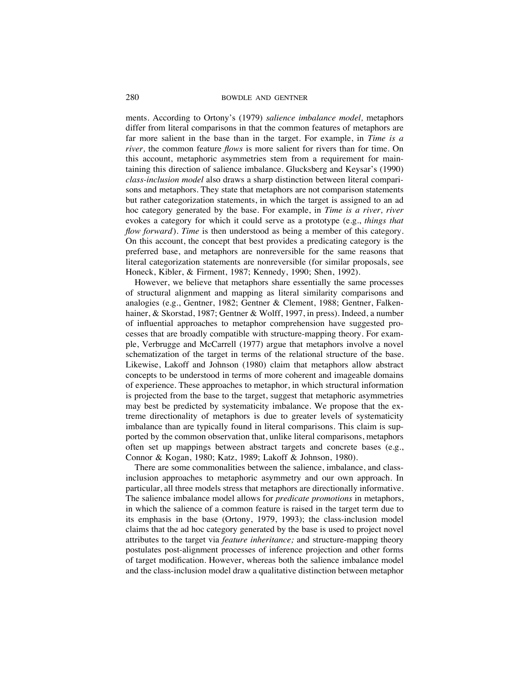ments. According to Ortony's (1979) *salience imbalance model,* metaphors differ from literal comparisons in that the common features of metaphors are far more salient in the base than in the target. For example, in *Time is a river,* the common feature *flows* is more salient for rivers than for time. On this account, metaphoric asymmetries stem from a requirement for maintaining this direction of salience imbalance. Glucksberg and Keysar's (1990) *class-inclusion model* also draws a sharp distinction between literal comparisons and metaphors. They state that metaphors are not comparison statements but rather categorization statements, in which the target is assigned to an ad hoc category generated by the base. For example, in *Time is a river, river* evokes a category for which it could serve as a prototype (e.g., *things that flow forward*). *Time* is then understood as being a member of this category. On this account, the concept that best provides a predicating category is the preferred base, and metaphors are nonreversible for the same reasons that literal categorization statements are nonreversible (for similar proposals, see Honeck, Kibler, & Firment, 1987; Kennedy, 1990; Shen, 1992).

However, we believe that metaphors share essentially the same processes of structural alignment and mapping as literal similarity comparisons and analogies (e.g., Gentner, 1982; Gentner & Clement, 1988; Gentner, Falkenhainer, & Skorstad, 1987; Gentner & Wolff, 1997, in press). Indeed, a number of influential approaches to metaphor comprehension have suggested processes that are broadly compatible with structure-mapping theory. For example, Verbrugge and McCarrell (1977) argue that metaphors involve a novel schematization of the target in terms of the relational structure of the base. Likewise, Lakoff and Johnson (1980) claim that metaphors allow abstract concepts to be understood in terms of more coherent and imageable domains of experience. These approaches to metaphor, in which structural information is projected from the base to the target, suggest that metaphoric asymmetries may best be predicted by systematicity imbalance. We propose that the extreme directionality of metaphors is due to greater levels of systematicity imbalance than are typically found in literal comparisons. This claim is supported by the common observation that, unlike literal comparisons, metaphors often set up mappings between abstract targets and concrete bases (e.g., Connor & Kogan, 1980; Katz, 1989; Lakoff & Johnson, 1980).

There are some commonalities between the salience, imbalance, and classinclusion approaches to metaphoric asymmetry and our own approach. In particular, all three models stress that metaphors are directionally informative. The salience imbalance model allows for *predicate promotions* in metaphors, in which the salience of a common feature is raised in the target term due to its emphasis in the base (Ortony, 1979, 1993); the class-inclusion model claims that the ad hoc category generated by the base is used to project novel attributes to the target via *feature inheritance;* and structure-mapping theory postulates post-alignment processes of inference projection and other forms of target modification. However, whereas both the salience imbalance model and the class-inclusion model draw a qualitative distinction between metaphor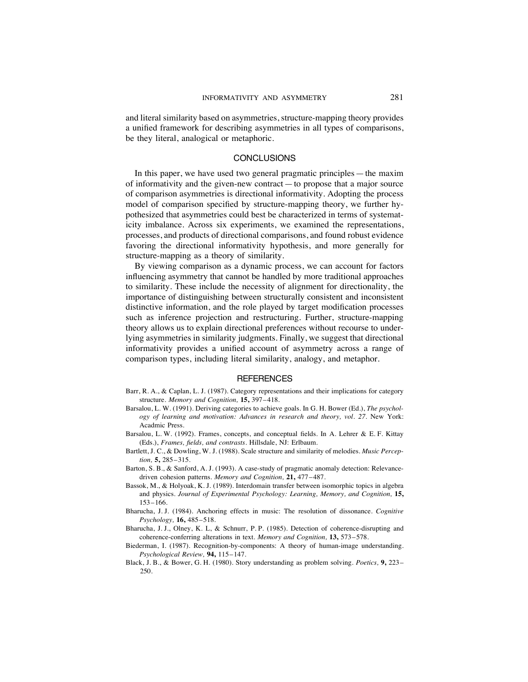and literal similarity based on asymmetries, structure-mapping theory provides a unified framework for describing asymmetries in all types of comparisons, be they literal, analogical or metaphoric.

## **CONCLUSIONS**

In this paper, we have used two general pragmatic principles—the maxim of informativity and the given-new contract—to propose that a major source of comparison asymmetries is directional informativity. Adopting the process model of comparison specified by structure-mapping theory, we further hypothesized that asymmetries could best be characterized in terms of systematicity imbalance. Across six experiments, we examined the representations, processes, and products of directional comparisons, and found robust evidence favoring the directional informativity hypothesis, and more generally for structure-mapping as a theory of similarity.

By viewing comparison as a dynamic process, we can account for factors influencing asymmetry that cannot be handled by more traditional approaches to similarity. These include the necessity of alignment for directionality, the importance of distinguishing between structurally consistent and inconsistent distinctive information, and the role played by target modification processes such as inference projection and restructuring. Further, structure-mapping theory allows us to explain directional preferences without recourse to underlying asymmetries in similarity judgments. Finally, we suggest that directional informativity provides a unified account of asymmetry across a range of comparison types, including literal similarity, analogy, and metaphor.

## **REFERENCES**

- Barr, R. A., & Caplan, L. J. (1987). Category representations and their implications for category structure. *Memory and Cognition,* **15,** 397–418.
- Barsalou, L. W. (1991). Deriving categories to achieve goals. In G. H. Bower (Ed.), *The psychology of learning and motivation: Advances in research and theory, vol. 27.* New York: Acadmic Press.
- Barsalou, L. W. (1992). Frames, concepts, and conceptual fields. In A. Lehrer & E. F. Kittay (Eds.), *Frames, fields, and contrasts.* Hillsdale, NJ: Erlbaum.
- Bartlett, J. C., & Dowling, W. J. (1988). Scale structure and similarity of melodies. *Music Perception,* **5,** 285–315.
- Barton, S. B., & Sanford, A. J. (1993). A case-study of pragmatic anomaly detection: Relevancedriven cohesion patterns. *Memory and Cognition,* **21,** 477–487.
- Bassok, M., & Holyoak, K. J. (1989). Interdomain transfer between isomorphic topics in algebra and physics. *Journal of Experimental Psychology: Learning, Memory, and Cognition,* **15,** 153–166.
- Bharucha, J. J. (1984). Anchoring effects in music: The resolution of dissonance. *Cognitive Psychology,* **16,** 485–518.
- Bharucha, J. J., Olney, K. L, & Schnurr, P. P. (1985). Detection of coherence-disrupting and coherence-conferring alterations in text. *Memory and Cognition,* **13,** 573–578.
- Biederman, I. (1987). Recognition-by-components: A theory of human-image understanding. *Psychological Review,* **94,** 115–147.
- Black, J. B., & Bower, G. H. (1980). Story understanding as problem solving. *Poetics,* **9,** 223– 250.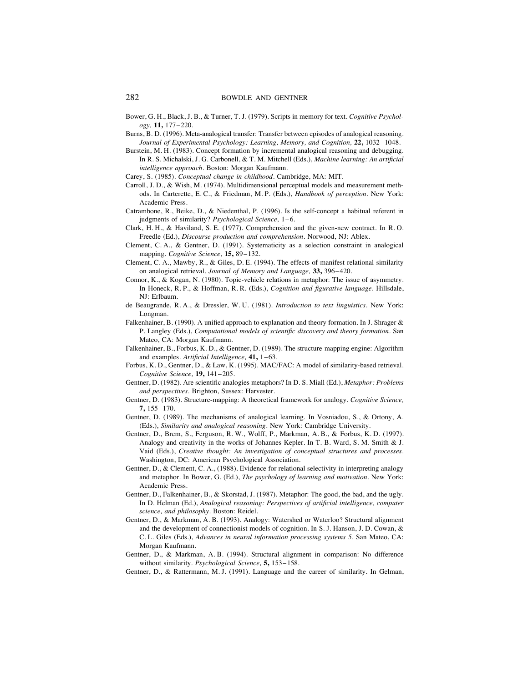Burns, B. D. (1996). Meta-analogical transfer: Transfer between episodes of analogical reasoning. *Journal of Experimental Psychology: Learning, Memory, and Cognition,* **22,** 1032–1048.

Burstein, M. H. (1983). Concept formation by incremental analogical reasoning and debugging. In R. S. Michalski, J. G. Carbonell, & T. M. Mitchell (Eds.), *Machine learning: An artificial intelligence approach.* Boston: Morgan Kaufmann.

Carey, S. (1985). *Conceptual change in childhood.* Cambridge, MA: MIT.

Carroll, J. D., & Wish, M. (1974). Multidimensional perceptual models and measurement methods. In Carterette, E. C., & Friedman, M. P. (Eds.), *Handbook of perception.* New York: Academic Press.

Catrambone, R., Beike, D., & Niedenthal, P. (1996). Is the self-concept a habitual referent in judgments of similarity? *Psychological Science,* 1–6.

Clark, H. H., & Haviland, S. E. (1977). Comprehension and the given-new contract. In R. O. Freedle (Ed.), *Discourse production and comprehension.* Norwood, NJ: Ablex.

- Clement, C. A., & Gentner, D. (1991). Systematicity as a selection constraint in analogical mapping. *Cognitive Science,* **15,** 89–132.
- Clement, C. A., Mawby, R., & Giles, D. E. (1994). The effects of manifest relational similarity on analogical retrieval. *Journal of Memory and Language,* **33,** 396–420.
- Connor, K., & Kogan, N. (1980). Topic-vehicle relations in metaphor: The issue of asymmetry. In Honeck, R. P., & Hoffman, R. R. (Eds.), *Cognition and figurative language.* Hillsdale, NJ: Erlbaum.
- de Beaugrande, R. A., & Dressler, W. U. (1981). *Introduction to text linguistics.* New York: Longman.
- Falkenhainer, B. (1990). A unified approach to explanation and theory formation. In J. Shrager & P. Langley (Eds.), *Computational models of scientific discovery and theory formation.* San Mateo, CA: Morgan Kaufmann.
- Falkenhainer, B., Forbus, K. D., & Gentner, D. (1989). The structure-mapping engine: Algorithm and examples. *Artificial Intelligence,* **41,** 1–63.
- Forbus, K. D., Gentner, D., & Law, K. (1995). MAC/FAC: A model of similarity-based retrieval. *Cognitive Science,* **19,** 141–205.
- Gentner, D. (1982). Are scientific analogies metaphors? In D. S. Miall (Ed.), *Metaphor: Problems and perspectives.* Brighton, Sussex: Harvester.
- Gentner, D. (1983). Structure-mapping: A theoretical framework for analogy. *Cognitive Science,* **7,** 155–170.
- Gentner, D. (1989). The mechanisms of analogical learning. In Vosniadou, S., & Ortony, A. (Eds.), *Similarity and analogical reasoning.* New York: Cambridge University.
- Gentner, D., Brem, S., Ferguson, R. W., Wolff, P., Markman, A. B., & Forbus, K. D. (1997). Analogy and creativity in the works of Johannes Kepler. In T. B. Ward, S. M. Smith & J. Vaid (Eds.), *Creative thought: An investigation of conceptual structures and processes.* Washington, DC: American Psychological Association.
- Gentner, D., & Clement, C. A., (1988). Evidence for relational selectivity in interpreting analogy and metaphor. In Bower, G. (Ed.), *The psychology of learning and motivation.* New York: Academic Press.
- Gentner, D., Falkenhainer, B., & Skorstad, J. (1987). Metaphor: The good, the bad, and the ugly. In D. Helman (Ed.), *Analogical reasoning: Perspectives of artificial intelligence, computer science, and philosophy.* Boston: Reidel.
- Gentner, D., & Markman, A. B. (1993). Analogy: Watershed or Waterloo? Structural alignment and the development of connectionist models of cognition. In S. J. Hanson, J. D. Cowan, & C. L. Giles (Eds.), *Advances in neural information processing systems 5.* San Mateo, CA: Morgan Kaufmann.
- Gentner, D., & Markman, A. B. (1994). Structural alignment in comparison: No difference without similarity. *Psychological Science,* **5,** 153–158.
- Gentner, D., & Rattermann, M. J. (1991). Language and the career of similarity. In Gelman,

Bower, G. H., Black, J. B., & Turner, T. J. (1979). Scripts in memory for text. *Cognitive Psychology,* **11,** 177–220.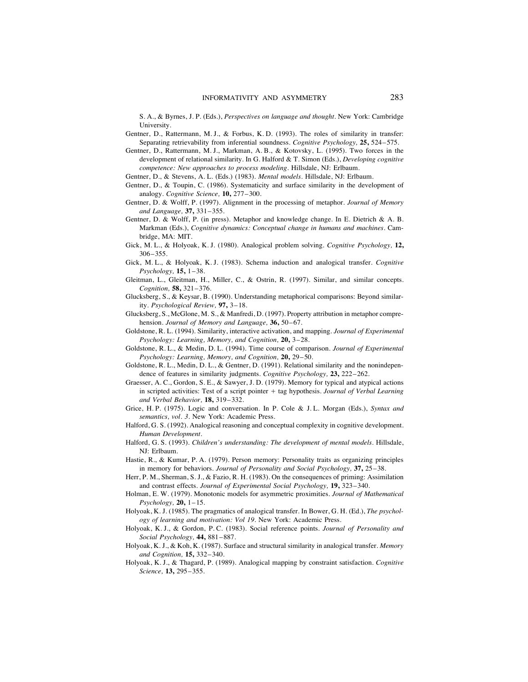S. A., & Byrnes, J. P. (Eds.), *Perspectives on language and thought.* New York: Cambridge University.

- Gentner, D., Rattermann, M. J., & Forbus, K. D. (1993). The roles of similarity in transfer: Separating retrievability from inferential soundness. *Cognitive Psychology,* **25,** 524–575.
- Gentner, D., Rattermann, M. J., Markman, A. B., & Kotovsky, L. (1995). Two forces in the development of relational similarity. In G. Halford & T. Simon (Eds.), *Developing cognitive competence: New approaches to process modeling.* Hillsdale, NJ: Erlbaum.
- Gentner, D., & Stevens, A. L. (Eds.) (1983). *Mental models.* Hillsdale, NJ: Erlbaum.
- Gentner, D., & Toupin, C. (1986). Systematicity and surface similarity in the development of analogy. *Cognitive Science,* **10,** 277–300.
- Gentner, D. & Wolff, P. (1997). Alignment in the processing of metaphor. *Journal of Memory and Language,* **37,** 331–355.
- Gentner, D. & Wolff, P. (in press). Metaphor and knowledge change. In E. Dietrich & A. B. Markman (Eds.), *Cognitive dynamics: Conceptual change in humans and machines.* Cambridge, MA: MIT.
- Gick, M. L., & Holyoak, K. J. (1980). Analogical problem solving. *Cognitive Psychology,* **12,** 306–355.
- Gick, M. L., & Holyoak, K. J. (1983). Schema induction and analogical transfer. *Cognitive Psychology,* **15,** 1–38.
- Gleitman, L., Gleitman, H., Miller, C., & Ostrin, R. (1997). Similar, and similar concepts. *Cognition,* **58,** 321–376.
- Glucksberg, S., & Keysar, B. (1990). Understanding metaphorical comparisons: Beyond similarity. *Psychological Review,* **97,** 3–18.
- Glucksberg, S., McGlone, M. S., & Manfredi, D. (1997). Property attribution in metaphor comprehension. *Journal of Memory and Language,* **36,** 50–67.
- Goldstone, R. L. (1994). Similarity, interactive activation, and mapping. *Journal of Experimental Psychology: Learning, Memory, and Cognition,* **20,** 3–28.
- Goldstone, R. L., & Medin, D. L. (1994). Time course of comparison. *Journal of Experimental Psychology: Learning, Memory, and Cognition,* **20,** 29–50.
- Goldstone, R. L., Medin, D. L., & Gentner, D. (1991). Relational similarity and the nonindependence of features in similarity judgments. *Cognitive Psychology,* **23,** 222–262.
- Graesser, A. C., Gordon, S. E., & Sawyer, J. D. (1979). Memory for typical and atypical actions in scripted activities: Test of a script pointer + tag hypothesis. *Journal of Verbal Learning and Verbal Behavior,* **18,** 319–332.
- Grice, H. P. (1975). Logic and conversation. In P. Cole & J. L. Morgan (Eds.), *Syntax and semantics, vol. 3.* New York: Academic Press.
- Halford, G. S. (1992). Analogical reasoning and conceptual complexity in cognitive development. *Human Development.*
- Halford, G. S. (1993). *Children's understanding: The development of mental models.* Hillsdale, NJ: Erlbaum.
- Hastie, R., & Kumar, P. A. (1979). Person memory: Personality traits as organizing principles in memory for behaviors. *Journal of Personality and Social Psychology,* **37,** 25–38.
- Herr, P. M., Sherman, S. J., & Fazio, R. H. (1983). On the consequences of priming: Assimilation and contrast effects. *Journal of Experimental Social Psychology,* **19,** 323–340.
- Holman, E. W. (1979). Monotonic models for asymmetric proximities. *Journal of Mathematical Psychology,* **20,** 1–15.
- Holyoak, K. J. (1985). The pragmatics of analogical transfer. In Bower, G. H. (Ed.), *The psychology of learning and motivation: Vol 19.* New York: Academic Press.
- Holyoak, K. J., & Gordon, P. C. (1983). Social reference points. *Journal of Personality and Social Psychology,* **44,** 881–887.
- Holyoak, K. J., & Koh, K. (1987). Surface and structural similarity in analogical transfer. *Memory and Cognition,* **15,** 332–340.
- Holyoak, K. J., & Thagard, P. (1989). Analogical mapping by constraint satisfaction. *Cognitive Science,* **13,** 295–355.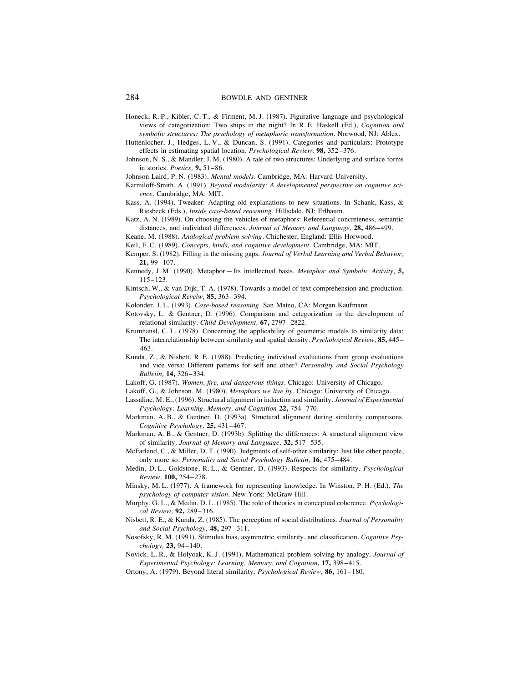- Honeck, R. P., Kibler, C. T., & Firment, M. J. (1987). Figurative language and psychological views of categorization: Two ships in the night? In R. E. Haskell (Ed.), *Cognition and symbolic structures: The psychology of metaphoric transformation.* Norwood, NJ: Ablex.
- Huttenlocher, J., Hedges, L. V., & Duncan, S. (1991). Categories and particulars: Prototype effects in estimating spatial location. *Psychological Review,* **98,** 352–376.
- Johnson, N. S., & Mandler, J. M. (1980). A tale of two structures: Underlying and surface forms in stories. *Poetics,* **9,** 51–86.

Johnson-Laird, P. N. (1983). *Mental models.* Cambridge, MA: Harvard University.

Karmiloff-Smith, A. (1991). *Beyond modularity: A developmental perspective on cognitive science.* Cambridge, MA: MIT.

Kass, A. (1994). Tweaker: Adapting old explanations to new situations. In Schank, Kass, & Riesbeck (Eds.), *Inside case-based reasoning.* Hillsdale, NJ: Erlbaum.

Katz, A. N. (1989). On choosing the vehicles of metaphors: Referential concreteness, semantic distances, and individual differences. *Journal of Memory and Language,* **28,** 486–499.

Keane, M. (1988). *Analogical problem solving.* Chichester, England: Ellis Horwood.

Keil, F. C. (1989). *Concepts, kinds, and cognitive development.* Cambridge, MA: MIT.

- Kemper, S. (1982). Filling in the missing gaps. *Journal of Verbal Learning and Verbal Behavior,* **21,** 99–107.
- Kennedy, J. M. (1990). Metaphor— Its intellectual basis. *Metaphor and Symbolic Activity,* **5,** 115–123.
- Kintsch, W., & van Dijk, T. A. (1978). Towards a model of text comprehension and production. *Psychological Reveiw,* **85,** 363–394.
- Kolonder, J. L. (1993). *Case-based reasoning.* San Mateo, CA: Morgan Kaufmann.
- Kotovsky, L. & Gentner, D. (1996). Comparison and categorization in the development of relational similarity. *Child Development,* **67,** 2797–2822.
- Krumhansl, C. L. (1978). Concerning the applicability of geometric models to similarity data: The interrelationship between similarity and spatial density. *Psychological Review,* **85,** 445– 463.
- Kunda, Z., & Nisbett, R. E. (1988). Predicting individual evaluations from group evaluations and vice versa: Different patterns for self and other? *Personality and Social Psychology Bulletin,* **14,** 326–334.
- Lakoff, G. (1987). *Women, fire, and dangerous things.* Chicago: University of Chicago.
- Lakoff, G., & Johnson, M. (1980). *Metaphors we live by.* Chicago: University of Chicago.
- Lassaline, M. E., (1996). Structural alignment in induction and similarity. *Journal of Experimental Psychology: Learning, Memory, and Cognition* **22,** 754–770.
- Markman, A. B., & Gentner, D. (1993a). Structural alignment during similarity comparisons. *Cognitive Psychology,* **25,** 431–467.
- Markman, A. B., & Gentner, D. (1993b). Splitting the differences: A structural alignment view of similarity. *Journal of Memory and Language,* **32,** 517–535.
- McFarland, C., & Miller, D. T. (1990). Judgments of self-other similarity: Just like other people, only more so. *Personality and Social Psychology Bulletin,* **16,** 475–484.
- Medin, D. L., Goldstone, R. L., & Gentner, D. (1993). Respects for similarity. *Psychological Review,* **100,** 254–278.
- Minsky, M. L. (1977). A framework for representing knowledge. In Winston, P. H. (Ed.), *The psychology of computer vision.* New York: McGraw-Hill.
- Murphy, G. L., & Medin, D. L. (1985). The role of theories in conceptual coherence. *Psychological Review,* **92,** 289–316.
- Nisbett, R. E., & Kunda, Z. (1985). The perception of social distributions. *Journal of Personality and Social Psychology,* **48,** 297–311.
- Nosofsky, R. M. (1991). Stimulus bias, asymmetric similarity, and classification. *Cognitive Psychology,* **23,** 94–140.
- Novick, L. R., & Holyoak, K. J. (1991). Mathematical problem solving by analogy. *Journal of Experimental Psychology: Learning, Memory, and Cognition,* **17,** 398–415.
- Ortony, A. (1979). Beyond literal similarity. *Psychological Review,* **86,** 161–180.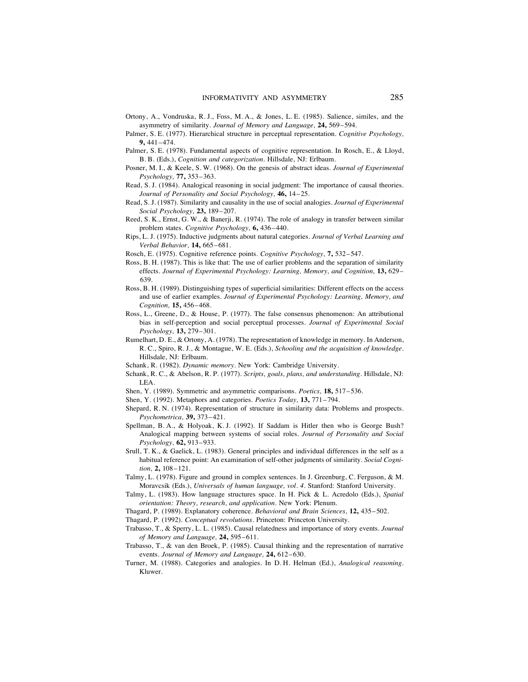- Ortony, A., Vondruska, R. J., Foss, M. A., & Jones, L. E. (1985). Salience, similes, and the asymmetry of similarity. *Journal of Memory and Language,* **24,** 569–594.
- Palmer, S. E. (1977). Hierarchical structure in perceptual representation. *Cognitive Psychology,* **9,** 441–474.
- Palmer, S. E. (1978). Fundamental aspects of cognitive representation. In Rosch, E., & Lloyd, B. B. (Eds.), *Cognition and categorization.* Hillsdale, NJ: Erlbaum.
- Posner, M. I., & Keele, S. W. (1968). On the genesis of abstract ideas. *Journal of Experimental Psychology,* **77,** 353–363.
- Read, S. J. (1984). Analogical reasoning in social judgment: The importance of causal theories. *Journal of Personality and Social Psychology,* **46,** 14–25.
- Read, S. J. (1987). Similarity and causality in the use of social analogies. *Journal of Experimental Social Psychology,* **23,** 189–207.
- Reed, S. K., Ernst, G. W., & Banerji, R. (1974). The role of analogy in transfer between similar problem states. *Cognitive Psychology,* **6,** 436–440.
- Rips, L. J. (1975). Inductive judgments about natural categories. *Journal of Verbal Learning and Verbal Behavior,* **14,** 665–681.
- Rosch, E. (1975). Cognitive reference points. *Cognitive Psychology,* **7,** 532–547.
- Ross, B. H. (1987). This is like that: The use of earlier problems and the separation of similarity effects. *Journal of Experimental Psychology: Learning, Memory, and Cognition,* **13,** 629– 639.
- Ross, B. H. (1989). Distinguishing types of superficial similarities: Different effects on the access and use of earlier examples. *Journal of Experimental Psychology: Learning, Memory, and Cognition,* **15,** 456–468.
- Ross, L., Greene, D., & House, P. (1977). The false consensus phenomenon: An attributional bias in self-perception and social perceptual processes. *Journal of Experimental Social Psychology,* **13,** 279–301.
- Rumelhart, D. E., & Ortony, A. (1978). The representation of knowledge in memory. In Anderson, R. C., Spiro, R. J., & Montague, W. E. (Eds.), *Schooling and the acquisition of knowledge.* Hillsdale, NJ: Erlbaum.
- Schank, R. (1982). *Dynamic memory.* New York: Cambridge University.
- Schank, R. C., & Abelson, R. P. (1977). *Scripts, goals, plans, and understanding.* Hillsdale, NJ: LEA.
- Shen, Y. (1989). Symmetric and asymmetric comparisons. *Poetics,* **18,** 517–536.
- Shen, Y. (1992). Metaphors and categories. *Poetics Today,* **13,** 771–794.
- Shepard, R. N. (1974). Representation of structure in similarity data: Problems and prospects. *Psychometrica,* **39,** 373–421.
- Spellman, B. A., & Holyoak, K. J. (1992). If Saddam is Hitler then who is George Bush? Analogical mapping between systems of social roles. *Journal of Personality and Social Psychology,* **62,** 913–933.
- Srull, T. K., & Gaelick, L. (1983). General principles and individual differences in the self as a habitual reference point: An examination of self-other judgments of similarity. *Social Cognition,* **2,** 108–121.
- Talmy, L. (1978). Figure and ground in complex sentences. In J. Greenburg, C. Ferguson, & M. Moravcsik (Eds.), *Universals of human language, vol. 4.* Stanford: Stanford University.
- Talmy, L. (1983). How language structures space. In H. Pick & L. Acredolo (Eds.), *Spatial orientation: Theory, research, and application.* New York: Plenum.
- Thagard, P. (1989). Explanatory coherence. *Behavioral and Brain Sciences,* **12,** 435–502.
- Thagard, P. (1992). *Conceptual revolutions.* Princeton: Princeton University.
- Trabasso, T., & Sperry, L. L. (1985). Causal relatedness and importance of story events. *Journal of Memory and Language,* **24,** 595–611.
- Trabasso, T., & van den Broek, P. (1985). Causal thinking and the representation of narrative events. *Journal of Memory and Language,* **24,** 612–630.
- Turner, M. (1988). Categories and analogies. In D. H. Helman (Ed.), *Analogical reasoning.* Kluwer.